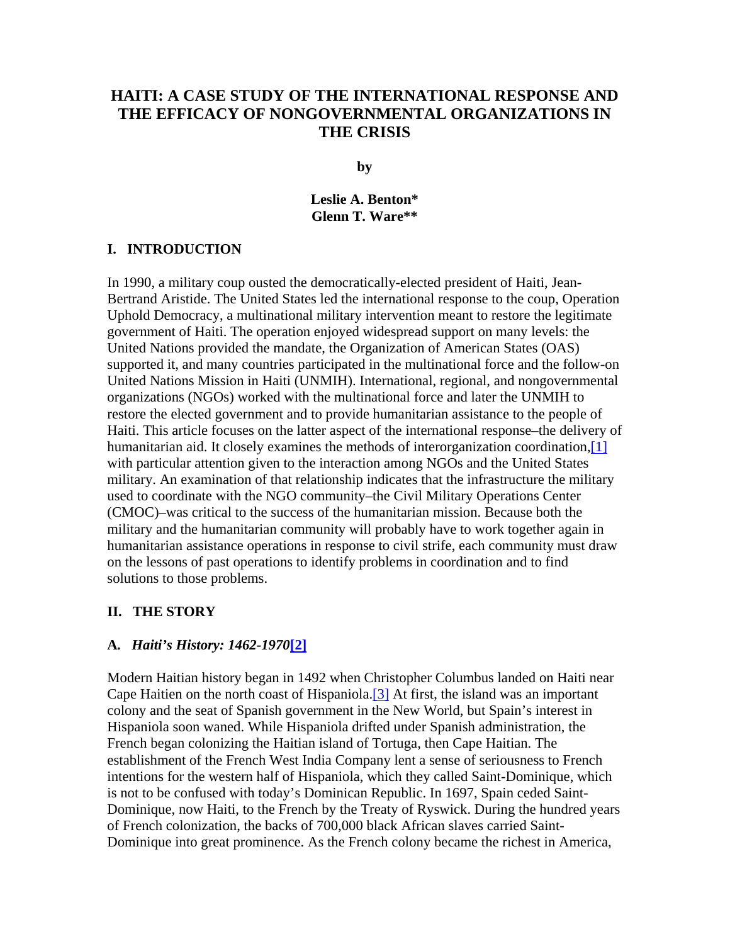# **HAITI: A CASE STUDY OF THE INTERNATIONAL RESPONSE AND THE EFFICACY OF NONGOVERNMENTAL ORGANIZATIONS IN THE CRISIS**

**by**

**Leslie A. Benton\* Glenn T. Ware\*\*** 

#### **I. INTRODUCTION**

In 1990, a military coup ousted the democratically-elected president of Haiti, Jean-Bertrand Aristide. The United States led the international response to the coup, Operation Uphold Democracy, a multinational military intervention meant to restore the legitimate government of Haiti. The operation enjoyed widespread support on many levels: the United Nations provided the mandate, the Organization of American States (OAS) supported it, and many countries participated in the multinational force and the follow-on United Nations Mission in Haiti (UNMIH). International, regional, and nongovernmental organizations (NGOs) worked with the multinational force and later the UNMIH to restore the elected government and to provide humanitarian assistance to the people of Haiti. This article focuses on the latter aspect of the international response–the delivery of humanitarian aid. It closely examines the methods of interorganization coordination, [1] with particular attention given to the interaction among NGOs and the United States military. An examination of that relationship indicates that the infrastructure the military used to coordinate with the NGO community–the Civil Military Operations Center (CMOC)–was critical to the success of the humanitarian mission. Because both the military and the humanitarian community will probably have to work together again in humanitarian assistance operations in response to civil strife, each community must draw on the lessons of past operations to identify problems in coordination and to find solutions to those problems.

#### **II. THE STORY**

#### **A***. Haiti's History: 1462-1970***[2]**

Modern Haitian history began in 1492 when Christopher Columbus landed on Haiti near Cape Haitien on the north coast of Hispaniola.[3] At first, the island was an important colony and the seat of Spanish government in the New World, but Spain's interest in Hispaniola soon waned. While Hispaniola drifted under Spanish administration, the French began colonizing the Haitian island of Tortuga, then Cape Haitian. The establishment of the French West India Company lent a sense of seriousness to French intentions for the western half of Hispaniola, which they called Saint-Dominique, which is not to be confused with today's Dominican Republic. In 1697, Spain ceded Saint-Dominique, now Haiti, to the French by the Treaty of Ryswick. During the hundred years of French colonization, the backs of 700,000 black African slaves carried Saint-Dominique into great prominence. As the French colony became the richest in America,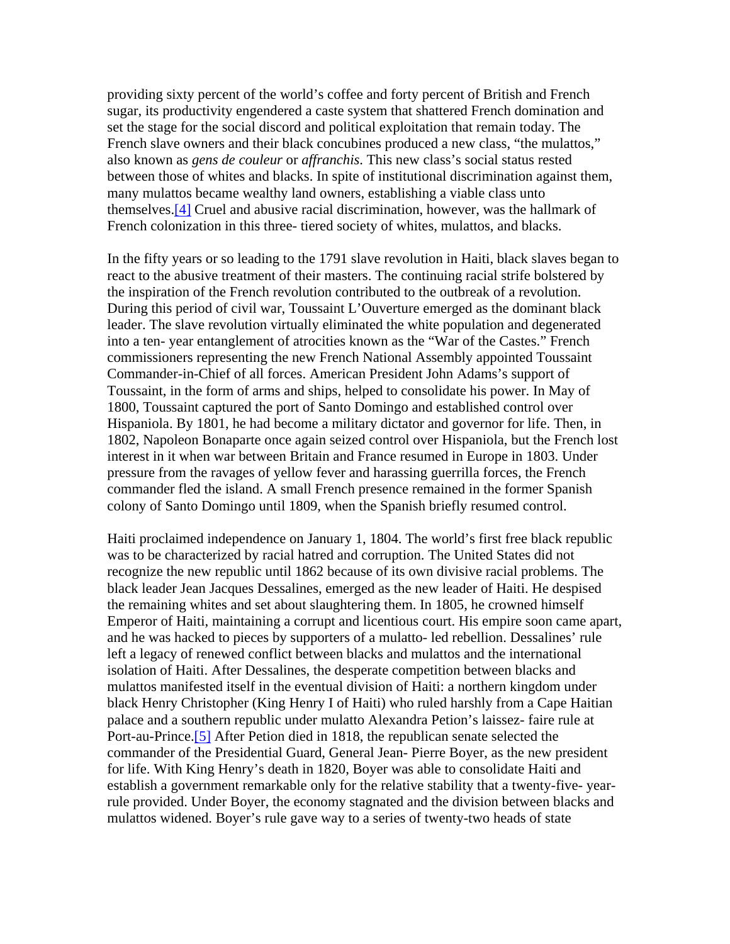providing sixty percent of the world's coffee and forty percent of British and French sugar, its productivity engendered a caste system that shattered French domination and set the stage for the social discord and political exploitation that remain today. The French slave owners and their black concubines produced a new class, "the mulattos," also known as *gens de couleur* or *affranchis*. This new class's social status rested between those of whites and blacks. In spite of institutional discrimination against them, many mulattos became wealthy land owners, establishing a viable class unto themselves.[4] Cruel and abusive racial discrimination, however, was the hallmark of French colonization in this three- tiered society of whites, mulattos, and blacks.

In the fifty years or so leading to the 1791 slave revolution in Haiti, black slaves began to react to the abusive treatment of their masters. The continuing racial strife bolstered by the inspiration of the French revolution contributed to the outbreak of a revolution. During this period of civil war, Toussaint L'Ouverture emerged as the dominant black leader. The slave revolution virtually eliminated the white population and degenerated into a ten- year entanglement of atrocities known as the "War of the Castes." French commissioners representing the new French National Assembly appointed Toussaint Commander-in-Chief of all forces. American President John Adams's support of Toussaint, in the form of arms and ships, helped to consolidate his power. In May of 1800, Toussaint captured the port of Santo Domingo and established control over Hispaniola. By 1801, he had become a military dictator and governor for life. Then, in 1802, Napoleon Bonaparte once again seized control over Hispaniola, but the French lost interest in it when war between Britain and France resumed in Europe in 1803. Under pressure from the ravages of yellow fever and harassing guerrilla forces, the French commander fled the island. A small French presence remained in the former Spanish colony of Santo Domingo until 1809, when the Spanish briefly resumed control.

Haiti proclaimed independence on January 1, 1804. The world's first free black republic was to be characterized by racial hatred and corruption. The United States did not recognize the new republic until 1862 because of its own divisive racial problems. The black leader Jean Jacques Dessalines, emerged as the new leader of Haiti. He despised the remaining whites and set about slaughtering them. In 1805, he crowned himself Emperor of Haiti, maintaining a corrupt and licentious court. His empire soon came apart, and he was hacked to pieces by supporters of a mulatto- led rebellion. Dessalines' rule left a legacy of renewed conflict between blacks and mulattos and the international isolation of Haiti. After Dessalines, the desperate competition between blacks and mulattos manifested itself in the eventual division of Haiti: a northern kingdom under black Henry Christopher (King Henry I of Haiti) who ruled harshly from a Cape Haitian palace and a southern republic under mulatto Alexandra Petion's laissez- faire rule at Port-au-Prince.<sup>[5]</sup> After Petion died in 1818, the republican senate selected the commander of the Presidential Guard, General Jean- Pierre Boyer, as the new president for life. With King Henry's death in 1820, Boyer was able to consolidate Haiti and establish a government remarkable only for the relative stability that a twenty-five- yearrule provided. Under Boyer, the economy stagnated and the division between blacks and mulattos widened. Boyer's rule gave way to a series of twenty-two heads of state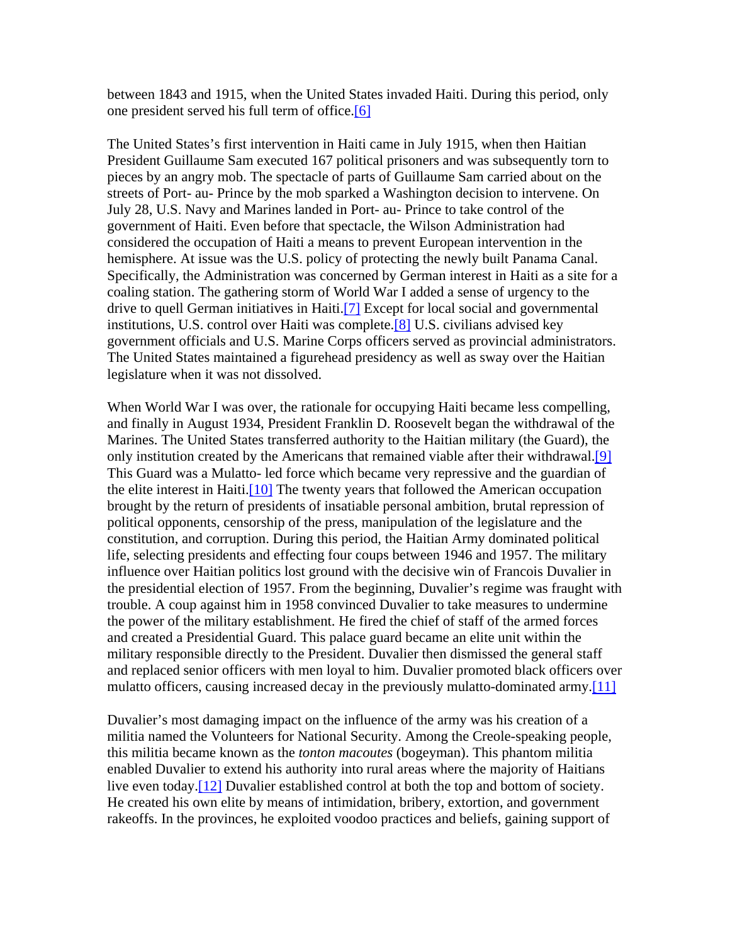between 1843 and 1915, when the United States invaded Haiti. During this period, only one president served his full term of office.[6]

The United States's first intervention in Haiti came in July 1915, when then Haitian President Guillaume Sam executed 167 political prisoners and was subsequently torn to pieces by an angry mob. The spectacle of parts of Guillaume Sam carried about on the streets of Port- au- Prince by the mob sparked a Washington decision to intervene. On July 28, U.S. Navy and Marines landed in Port- au- Prince to take control of the government of Haiti. Even before that spectacle, the Wilson Administration had considered the occupation of Haiti a means to prevent European intervention in the hemisphere. At issue was the U.S. policy of protecting the newly built Panama Canal. Specifically, the Administration was concerned by German interest in Haiti as a site for a coaling station. The gathering storm of World War I added a sense of urgency to the drive to quell German initiatives in Haiti.<sup>[7]</sup> Except for local social and governmental institutions, U.S. control over Haiti was complete.[8] U.S. civilians advised key government officials and U.S. Marine Corps officers served as provincial administrators. The United States maintained a figurehead presidency as well as sway over the Haitian legislature when it was not dissolved.

When World War I was over, the rationale for occupying Haiti became less compelling, and finally in August 1934, President Franklin D. Roosevelt began the withdrawal of the Marines. The United States transferred authority to the Haitian military (the Guard), the only institution created by the Americans that remained viable after their withdrawal.[9] This Guard was a Mulatto- led force which became very repressive and the guardian of the elite interest in Haiti.[10] The twenty years that followed the American occupation brought by the return of presidents of insatiable personal ambition, brutal repression of political opponents, censorship of the press, manipulation of the legislature and the constitution, and corruption. During this period, the Haitian Army dominated political life, selecting presidents and effecting four coups between 1946 and 1957. The military influence over Haitian politics lost ground with the decisive win of Francois Duvalier in the presidential election of 1957. From the beginning, Duvalier's regime was fraught with trouble. A coup against him in 1958 convinced Duvalier to take measures to undermine the power of the military establishment. He fired the chief of staff of the armed forces and created a Presidential Guard. This palace guard became an elite unit within the military responsible directly to the President. Duvalier then dismissed the general staff and replaced senior officers with men loyal to him. Duvalier promoted black officers over mulatto officers, causing increased decay in the previously mulatto-dominated army.<sup>[11]</sup>

Duvalier's most damaging impact on the influence of the army was his creation of a militia named the Volunteers for National Security. Among the Creole-speaking people, this militia became known as the *tonton macoutes* (bogeyman). This phantom militia enabled Duvalier to extend his authority into rural areas where the majority of Haitians live even today.[12] Duvalier established control at both the top and bottom of society. He created his own elite by means of intimidation, bribery, extortion, and government rakeoffs. In the provinces, he exploited voodoo practices and beliefs, gaining support of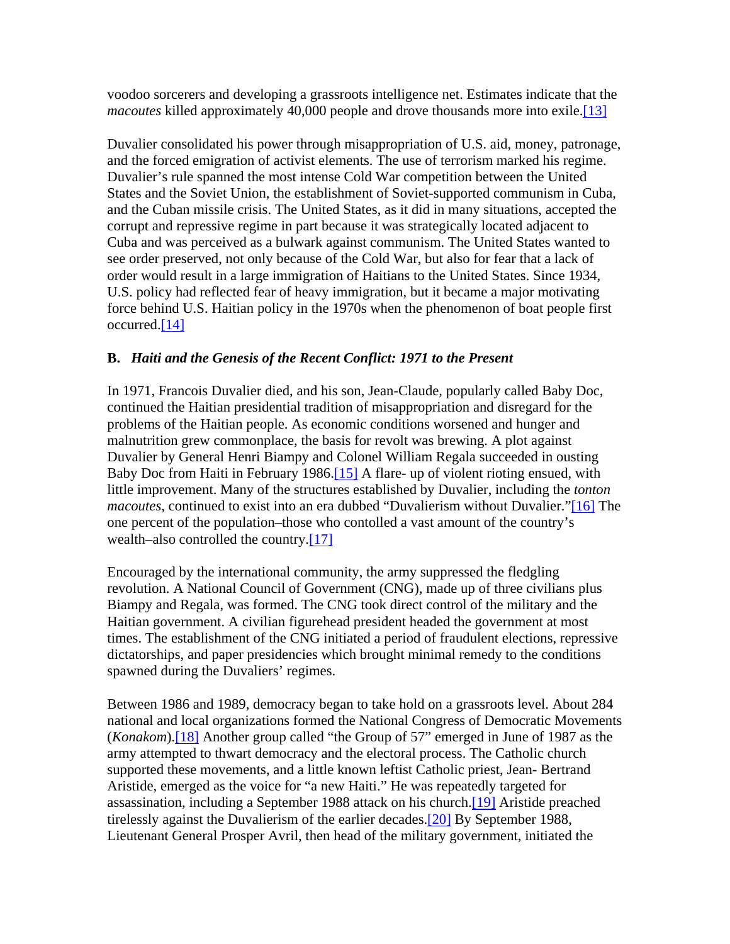voodoo sorcerers and developing a grassroots intelligence net. Estimates indicate that the *macoutes* killed approximately 40,000 people and drove thousands more into exile.<sup>[13]</sup>

Duvalier consolidated his power through misappropriation of U.S. aid, money, patronage, and the forced emigration of activist elements. The use of terrorism marked his regime. Duvalier's rule spanned the most intense Cold War competition between the United States and the Soviet Union, the establishment of Soviet-supported communism in Cuba, and the Cuban missile crisis. The United States, as it did in many situations, accepted the corrupt and repressive regime in part because it was strategically located adjacent to Cuba and was perceived as a bulwark against communism. The United States wanted to see order preserved, not only because of the Cold War, but also for fear that a lack of order would result in a large immigration of Haitians to the United States. Since 1934, U.S. policy had reflected fear of heavy immigration, but it became a major motivating force behind U.S. Haitian policy in the 1970s when the phenomenon of boat people first occurred.[14]

# **B.** *Haiti and the Genesis of the Recent Conflict: 1971 to the Present*

In 1971, Francois Duvalier died, and his son, Jean-Claude, popularly called Baby Doc, continued the Haitian presidential tradition of misappropriation and disregard for the problems of the Haitian people. As economic conditions worsened and hunger and malnutrition grew commonplace, the basis for revolt was brewing. A plot against Duvalier by General Henri Biampy and Colonel William Regala succeeded in ousting Baby Doc from Haiti in February 1986.<sup>[15]</sup> A flare- up of violent rioting ensued, with little improvement. Many of the structures established by Duvalier, including the *tonton macoutes*, continued to exist into an era dubbed "Duvalierism without Duvalier."[16] The one percent of the population–those who contolled a vast amount of the country's wealth–also controlled the country.[17]

Encouraged by the international community, the army suppressed the fledgling revolution. A National Council of Government (CNG), made up of three civilians plus Biampy and Regala, was formed. The CNG took direct control of the military and the Haitian government. A civilian figurehead president headed the government at most times. The establishment of the CNG initiated a period of fraudulent elections, repressive dictatorships, and paper presidencies which brought minimal remedy to the conditions spawned during the Duvaliers' regimes.

Between 1986 and 1989, democracy began to take hold on a grassroots level. About 284 national and local organizations formed the National Congress of Democratic Movements (*Konakom*).[18] Another group called "the Group of 57" emerged in June of 1987 as the army attempted to thwart democracy and the electoral process. The Catholic church supported these movements, and a little known leftist Catholic priest, Jean- Bertrand Aristide, emerged as the voice for "a new Haiti." He was repeatedly targeted for assassination, including a September 1988 attack on his church.[19] Aristide preached tirelessly against the Duvalierism of the earlier decades.[20] By September 1988, Lieutenant General Prosper Avril, then head of the military government, initiated the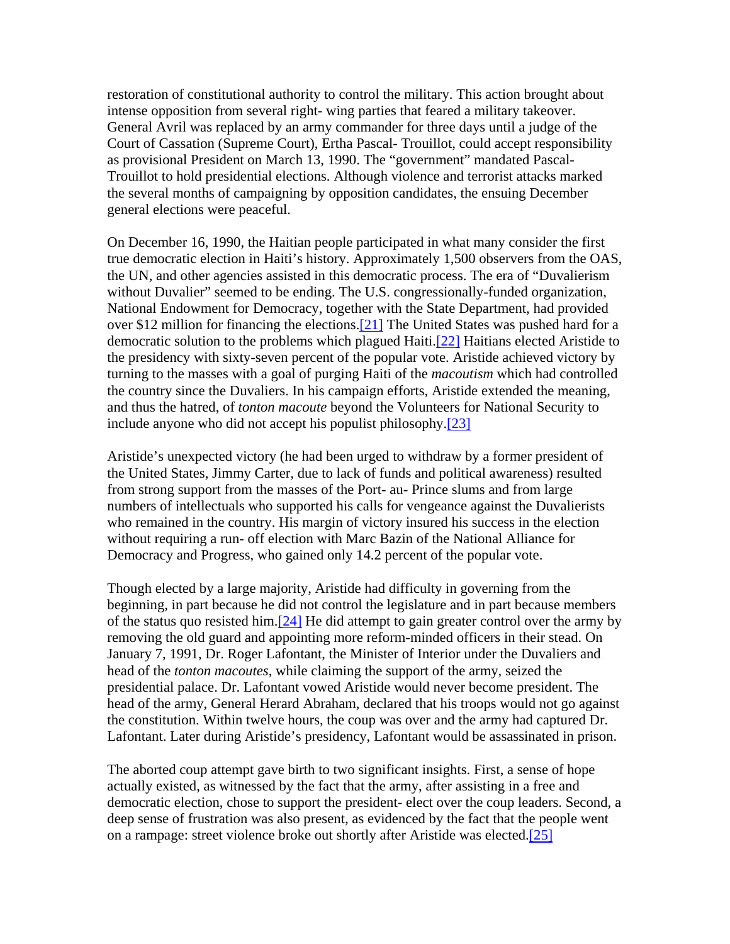restoration of constitutional authority to control the military. This action brought about intense opposition from several right- wing parties that feared a military takeover. General Avril was replaced by an army commander for three days until a judge of the Court of Cassation (Supreme Court), Ertha Pascal- Trouillot, could accept responsibility as provisional President on March 13, 1990. The "government" mandated Pascal-Trouillot to hold presidential elections. Although violence and terrorist attacks marked the several months of campaigning by opposition candidates, the ensuing December general elections were peaceful.

On December 16, 1990, the Haitian people participated in what many consider the first true democratic election in Haiti's history. Approximately 1,500 observers from the OAS, the UN, and other agencies assisted in this democratic process. The era of "Duvalierism without Duvalier" seemed to be ending. The U.S. congressionally-funded organization, National Endowment for Democracy, together with the State Department, had provided over \$12 million for financing the elections.[21] The United States was pushed hard for a democratic solution to the problems which plagued Haiti.[22] Haitians elected Aristide to the presidency with sixty-seven percent of the popular vote. Aristide achieved victory by turning to the masses with a goal of purging Haiti of the *macoutism* which had controlled the country since the Duvaliers. In his campaign efforts, Aristide extended the meaning, and thus the hatred, of *tonton macoute* beyond the Volunteers for National Security to include anyone who did not accept his populist philosophy.[23]

Aristide's unexpected victory (he had been urged to withdraw by a former president of the United States, Jimmy Carter, due to lack of funds and political awareness) resulted from strong support from the masses of the Port- au- Prince slums and from large numbers of intellectuals who supported his calls for vengeance against the Duvalierists who remained in the country. His margin of victory insured his success in the election without requiring a run- off election with Marc Bazin of the National Alliance for Democracy and Progress, who gained only 14.2 percent of the popular vote.

Though elected by a large majority, Aristide had difficulty in governing from the beginning, in part because he did not control the legislature and in part because members of the status quo resisted him.[24] He did attempt to gain greater control over the army by removing the old guard and appointing more reform-minded officers in their stead. On January 7, 1991, Dr. Roger Lafontant, the Minister of Interior under the Duvaliers and head of the *tonton macoutes*, while claiming the support of the army, seized the presidential palace. Dr. Lafontant vowed Aristide would never become president. The head of the army, General Herard Abraham, declared that his troops would not go against the constitution. Within twelve hours, the coup was over and the army had captured Dr. Lafontant. Later during Aristide's presidency, Lafontant would be assassinated in prison.

The aborted coup attempt gave birth to two significant insights. First, a sense of hope actually existed, as witnessed by the fact that the army, after assisting in a free and democratic election, chose to support the president- elect over the coup leaders. Second, a deep sense of frustration was also present, as evidenced by the fact that the people went on a rampage: street violence broke out shortly after Aristide was elected.[25]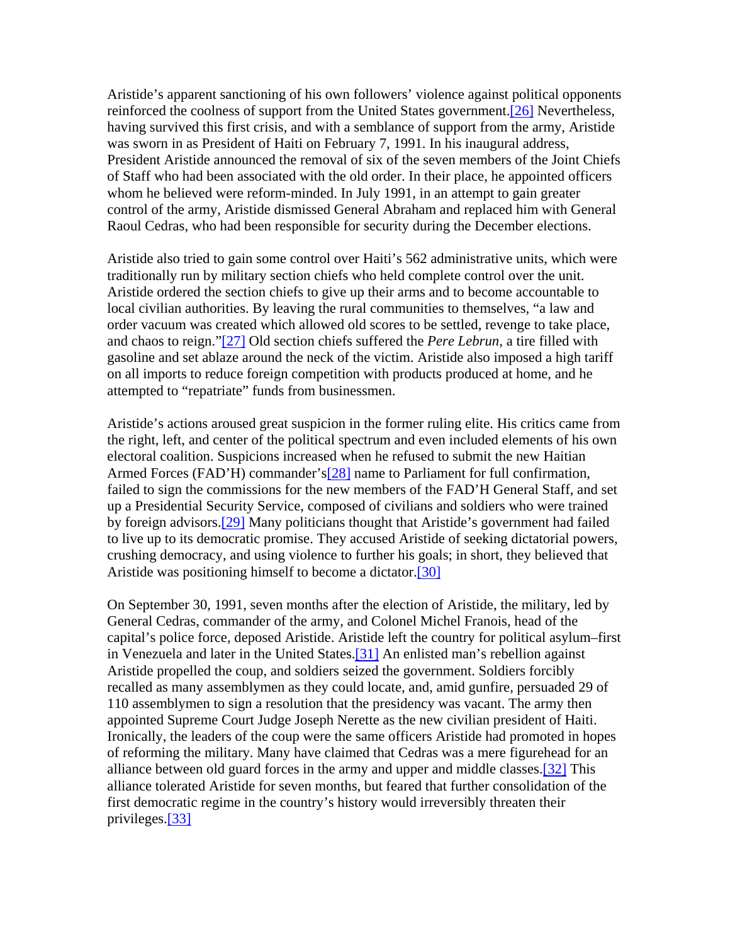Aristide's apparent sanctioning of his own followers' violence against political opponents reinforced the coolness of support from the United States government.<sup>[26]</sup> Nevertheless, having survived this first crisis, and with a semblance of support from the army, Aristide was sworn in as President of Haiti on February 7, 1991. In his inaugural address, President Aristide announced the removal of six of the seven members of the Joint Chiefs of Staff who had been associated with the old order. In their place, he appointed officers whom he believed were reform-minded. In July 1991, in an attempt to gain greater control of the army, Aristide dismissed General Abraham and replaced him with General Raoul Cedras, who had been responsible for security during the December elections.

Aristide also tried to gain some control over Haiti's 562 administrative units, which were traditionally run by military section chiefs who held complete control over the unit. Aristide ordered the section chiefs to give up their arms and to become accountable to local civilian authorities. By leaving the rural communities to themselves, "a law and order vacuum was created which allowed old scores to be settled, revenge to take place, and chaos to reign."[27] Old section chiefs suffered the *Pere Lebrun,* a tire filled with gasoline and set ablaze around the neck of the victim. Aristide also imposed a high tariff on all imports to reduce foreign competition with products produced at home, and he attempted to "repatriate" funds from businessmen.

Aristide's actions aroused great suspicion in the former ruling elite. His critics came from the right, left, and center of the political spectrum and even included elements of his own electoral coalition. Suspicions increased when he refused to submit the new Haitian Armed Forces (FAD'H) commander's<sup>[28]</sup> name to Parliament for full confirmation, failed to sign the commissions for the new members of the FAD'H General Staff, and set up a Presidential Security Service, composed of civilians and soldiers who were trained by foreign advisors.[29] Many politicians thought that Aristide's government had failed to live up to its democratic promise. They accused Aristide of seeking dictatorial powers, crushing democracy, and using violence to further his goals; in short, they believed that Aristide was positioning himself to become a dictator.[30]

On September 30, 1991, seven months after the election of Aristide, the military, led by General Cedras, commander of the army, and Colonel Michel Franois, head of the capital's police force, deposed Aristide. Aristide left the country for political asylum–first in Venezuela and later in the United States.[31] An enlisted man's rebellion against Aristide propelled the coup, and soldiers seized the government. Soldiers forcibly recalled as many assemblymen as they could locate, and, amid gunfire, persuaded 29 of 110 assemblymen to sign a resolution that the presidency was vacant. The army then appointed Supreme Court Judge Joseph Nerette as the new civilian president of Haiti. Ironically, the leaders of the coup were the same officers Aristide had promoted in hopes of reforming the military. Many have claimed that Cedras was a mere figurehead for an alliance between old guard forces in the army and upper and middle classes.[32] This alliance tolerated Aristide for seven months, but feared that further consolidation of the first democratic regime in the country's history would irreversibly threaten their privileges.[33]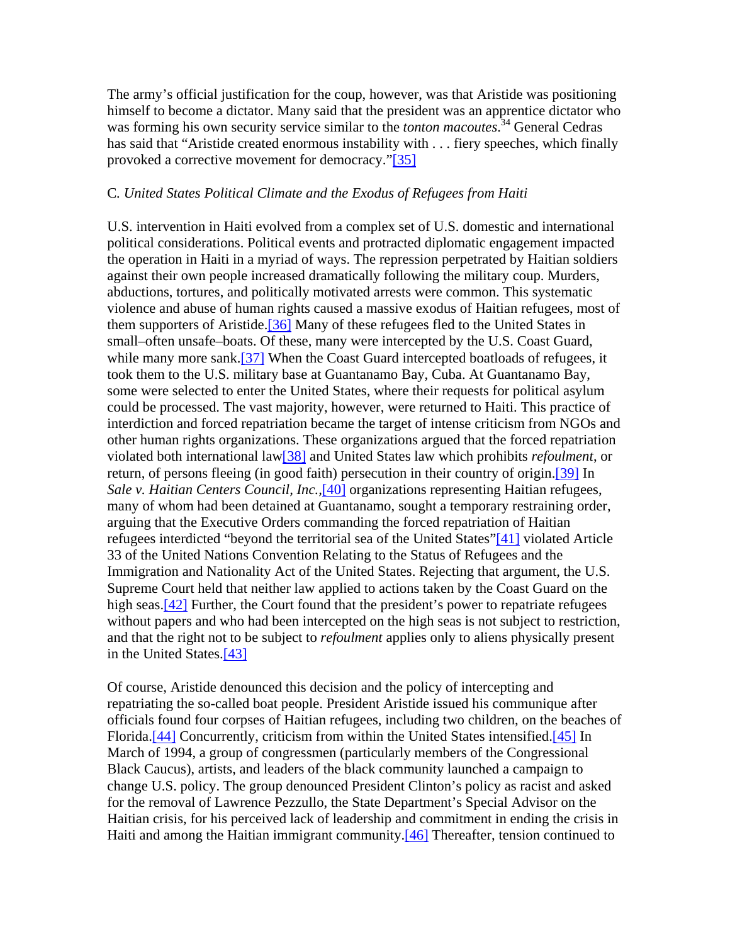The army's official justification for the coup, however, was that Aristide was positioning himself to become a dictator. Many said that the president was an apprentice dictator who was forming his own security service similar to the *tonton macoutes*. 34 General Cedras has said that "Aristide created enormous instability with . . . fiery speeches, which finally provoked a corrective movement for democracy."[35]

#### C*. United States Political Climate and the Exodus of Refugees from Haiti*

U.S. intervention in Haiti evolved from a complex set of U.S. domestic and international political considerations. Political events and protracted diplomatic engagement impacted the operation in Haiti in a myriad of ways. The repression perpetrated by Haitian soldiers against their own people increased dramatically following the military coup. Murders, abductions, tortures, and politically motivated arrests were common. This systematic violence and abuse of human rights caused a massive exodus of Haitian refugees, most of them supporters of Aristide.[36] Many of these refugees fled to the United States in small–often unsafe–boats. Of these, many were intercepted by the U.S. Coast Guard, while many more sank.<sup>[37]</sup> When the Coast Guard intercepted boatloads of refugees, it took them to the U.S. military base at Guantanamo Bay, Cuba. At Guantanamo Bay, some were selected to enter the United States, where their requests for political asylum could be processed. The vast majority, however, were returned to Haiti. This practice of interdiction and forced repatriation became the target of intense criticism from NGOs and other human rights organizations. These organizations argued that the forced repatriation violated both international law[38] and United States law which prohibits *refoulment*, or return, of persons fleeing (in good faith) persecution in their country of origin.<sup>[39]</sup> In *Sale v. Haitian Centers Council, Inc.,*[40] organizations representing Haitian refugees, many of whom had been detained at Guantanamo, sought a temporary restraining order, arguing that the Executive Orders commanding the forced repatriation of Haitian refugees interdicted "beyond the territorial sea of the United States"[41] violated Article 33 of the United Nations Convention Relating to the Status of Refugees and the Immigration and Nationality Act of the United States. Rejecting that argument, the U.S. Supreme Court held that neither law applied to actions taken by the Coast Guard on the high seas.<sup>[42]</sup> Further, the Court found that the president's power to repatriate refugees without papers and who had been intercepted on the high seas is not subject to restriction, and that the right not to be subject to *refoulment* applies only to aliens physically present in the United States.[43]

Of course, Aristide denounced this decision and the policy of intercepting and repatriating the so-called boat people. President Aristide issued his communique after officials found four corpses of Haitian refugees, including two children, on the beaches of Florida.<sup>[44]</sup> Concurrently, criticism from within the United States intensified.<sup>[45]</sup> In March of 1994, a group of congressmen (particularly members of the Congressional Black Caucus), artists, and leaders of the black community launched a campaign to change U.S. policy. The group denounced President Clinton's policy as racist and asked for the removal of Lawrence Pezzullo, the State Department's Special Advisor on the Haitian crisis, for his perceived lack of leadership and commitment in ending the crisis in Haiti and among the Haitian immigrant community.<sup>[46]</sup> Thereafter, tension continued to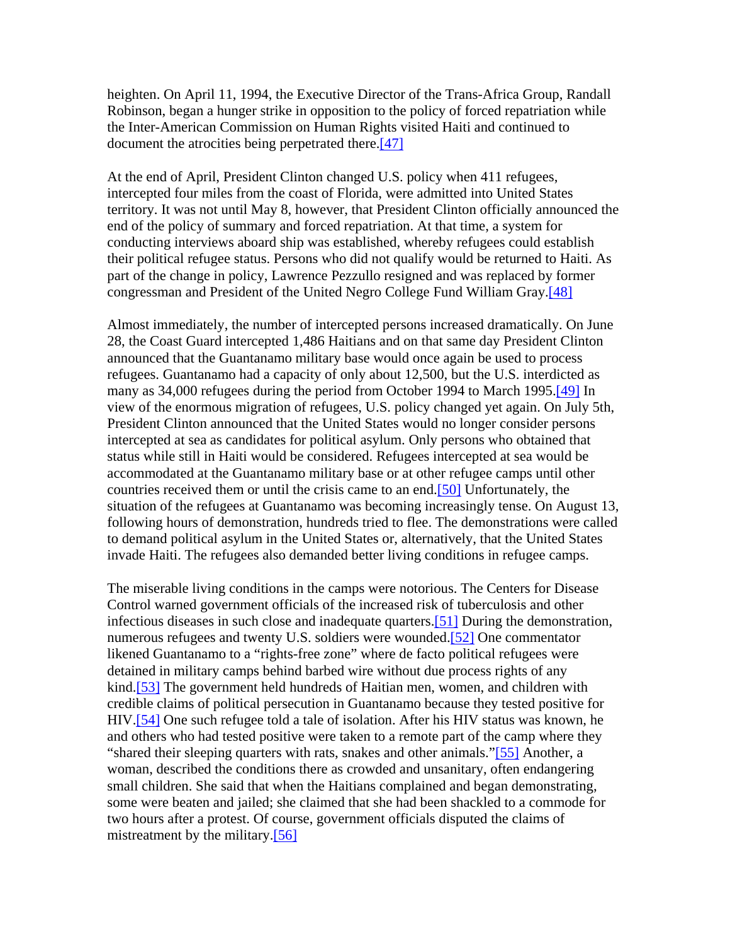heighten. On April 11, 1994, the Executive Director of the Trans-Africa Group, Randall Robinson, began a hunger strike in opposition to the policy of forced repatriation while the Inter-American Commission on Human Rights visited Haiti and continued to document the atrocities being perpetrated there.<sup>[47]</sup>

At the end of April, President Clinton changed U.S. policy when 411 refugees, intercepted four miles from the coast of Florida, were admitted into United States territory. It was not until May 8, however, that President Clinton officially announced the end of the policy of summary and forced repatriation. At that time, a system for conducting interviews aboard ship was established, whereby refugees could establish their political refugee status. Persons who did not qualify would be returned to Haiti. As part of the change in policy, Lawrence Pezzullo resigned and was replaced by former congressman and President of the United Negro College Fund William Gray.[48]

Almost immediately, the number of intercepted persons increased dramatically. On June 28, the Coast Guard intercepted 1,486 Haitians and on that same day President Clinton announced that the Guantanamo military base would once again be used to process refugees. Guantanamo had a capacity of only about 12,500, but the U.S. interdicted as many as 34,000 refugees during the period from October 1994 to March 1995.<sup>[49]</sup> In view of the enormous migration of refugees, U.S. policy changed yet again. On July 5th, President Clinton announced that the United States would no longer consider persons intercepted at sea as candidates for political asylum. Only persons who obtained that status while still in Haiti would be considered. Refugees intercepted at sea would be accommodated at the Guantanamo military base or at other refugee camps until other countries received them or until the crisis came to an end.[50] Unfortunately, the situation of the refugees at Guantanamo was becoming increasingly tense. On August 13, following hours of demonstration, hundreds tried to flee. The demonstrations were called to demand political asylum in the United States or, alternatively, that the United States invade Haiti. The refugees also demanded better living conditions in refugee camps.

The miserable living conditions in the camps were notorious. The Centers for Disease Control warned government officials of the increased risk of tuberculosis and other infectious diseases in such close and inadequate quarters.[51] During the demonstration, numerous refugees and twenty U.S. soldiers were wounded.[52] One commentator likened Guantanamo to a "rights-free zone" where de facto political refugees were detained in military camps behind barbed wire without due process rights of any kind.[53] The government held hundreds of Haitian men, women, and children with credible claims of political persecution in Guantanamo because they tested positive for HIV.[54] One such refugee told a tale of isolation. After his HIV status was known, he and others who had tested positive were taken to a remote part of the camp where they "shared their sleeping quarters with rats, snakes and other animals."[55] Another, a woman, described the conditions there as crowded and unsanitary, often endangering small children. She said that when the Haitians complained and began demonstrating, some were beaten and jailed; she claimed that she had been shackled to a commode for two hours after a protest. Of course, government officials disputed the claims of mistreatment by the military.[56]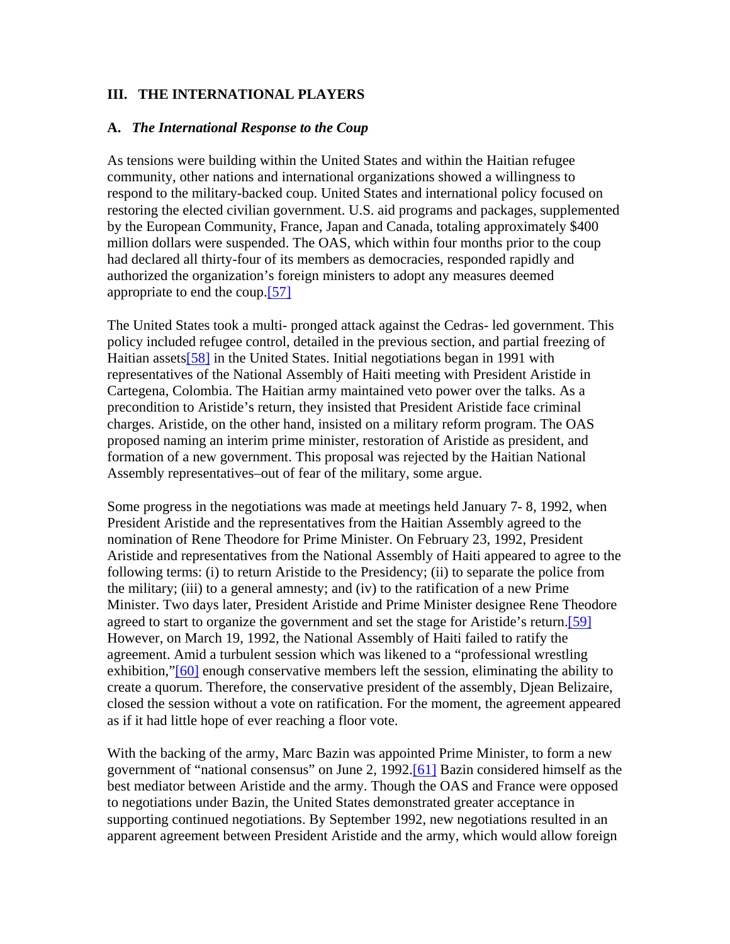### **III. THE INTERNATIONAL PLAYERS**

#### **A.** *The International Response to the Coup*

As tensions were building within the United States and within the Haitian refugee community, other nations and international organizations showed a willingness to respond to the military-backed coup. United States and international policy focused on restoring the elected civilian government. U.S. aid programs and packages, supplemented by the European Community, France, Japan and Canada, totaling approximately \$400 million dollars were suspended. The OAS, which within four months prior to the coup had declared all thirty-four of its members as democracies, responded rapidly and authorized the organization's foreign ministers to adopt any measures deemed appropriate to end the coup.[57]

The United States took a multi- pronged attack against the Cedras- led government. This policy included refugee control, detailed in the previous section, and partial freezing of Haitian assets<sup>[58]</sup> in the United States. Initial negotiations began in 1991 with representatives of the National Assembly of Haiti meeting with President Aristide in Cartegena, Colombia. The Haitian army maintained veto power over the talks. As a precondition to Aristide's return, they insisted that President Aristide face criminal charges. Aristide, on the other hand, insisted on a military reform program. The OAS proposed naming an interim prime minister, restoration of Aristide as president, and formation of a new government. This proposal was rejected by the Haitian National Assembly representatives–out of fear of the military, some argue.

Some progress in the negotiations was made at meetings held January 7- 8, 1992, when President Aristide and the representatives from the Haitian Assembly agreed to the nomination of Rene Theodore for Prime Minister. On February 23, 1992, President Aristide and representatives from the National Assembly of Haiti appeared to agree to the following terms: (i) to return Aristide to the Presidency; (ii) to separate the police from the military; (iii) to a general amnesty; and (iv) to the ratification of a new Prime Minister. Two days later, President Aristide and Prime Minister designee Rene Theodore agreed to start to organize the government and set the stage for Aristide's return.[59] However, on March 19, 1992, the National Assembly of Haiti failed to ratify the agreement. Amid a turbulent session which was likened to a "professional wrestling exhibition,"[60] enough conservative members left the session, eliminating the ability to create a quorum. Therefore, the conservative president of the assembly, Djean Belizaire, closed the session without a vote on ratification. For the moment, the agreement appeared as if it had little hope of ever reaching a floor vote.

With the backing of the army, Marc Bazin was appointed Prime Minister, to form a new government of "national consensus" on June 2, 1992.[61] Bazin considered himself as the best mediator between Aristide and the army. Though the OAS and France were opposed to negotiations under Bazin, the United States demonstrated greater acceptance in supporting continued negotiations. By September 1992, new negotiations resulted in an apparent agreement between President Aristide and the army, which would allow foreign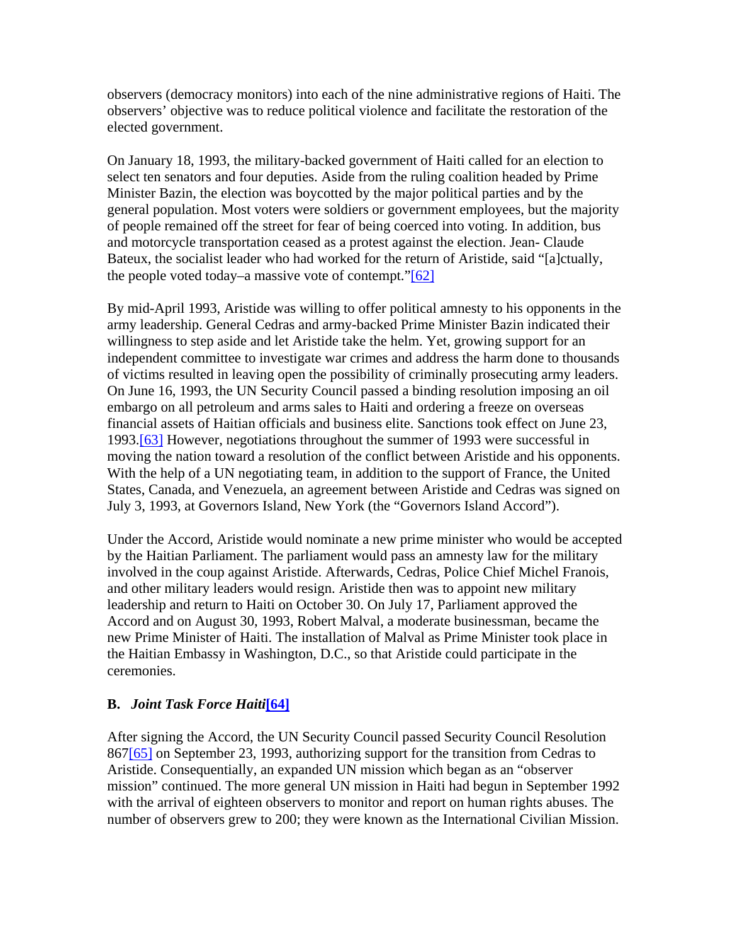observers (democracy monitors) into each of the nine administrative regions of Haiti. The observers' objective was to reduce political violence and facilitate the restoration of the elected government.

On January 18, 1993, the military-backed government of Haiti called for an election to select ten senators and four deputies. Aside from the ruling coalition headed by Prime Minister Bazin, the election was boycotted by the major political parties and by the general population. Most voters were soldiers or government employees, but the majority of people remained off the street for fear of being coerced into voting. In addition, bus and motorcycle transportation ceased as a protest against the election. Jean- Claude Bateux, the socialist leader who had worked for the return of Aristide, said "[a]ctually, the people voted today–a massive vote of contempt." $[62]$ 

By mid-April 1993, Aristide was willing to offer political amnesty to his opponents in the army leadership. General Cedras and army-backed Prime Minister Bazin indicated their willingness to step aside and let Aristide take the helm. Yet, growing support for an independent committee to investigate war crimes and address the harm done to thousands of victims resulted in leaving open the possibility of criminally prosecuting army leaders. On June 16, 1993, the UN Security Council passed a binding resolution imposing an oil embargo on all petroleum and arms sales to Haiti and ordering a freeze on overseas financial assets of Haitian officials and business elite. Sanctions took effect on June 23, 1993.[63] However, negotiations throughout the summer of 1993 were successful in moving the nation toward a resolution of the conflict between Aristide and his opponents. With the help of a UN negotiating team, in addition to the support of France, the United States, Canada, and Venezuela, an agreement between Aristide and Cedras was signed on July 3, 1993, at Governors Island, New York (the "Governors Island Accord").

Under the Accord, Aristide would nominate a new prime minister who would be accepted by the Haitian Parliament. The parliament would pass an amnesty law for the military involved in the coup against Aristide. Afterwards, Cedras, Police Chief Michel Franois, and other military leaders would resign. Aristide then was to appoint new military leadership and return to Haiti on October 30. On July 17, Parliament approved the Accord and on August 30, 1993, Robert Malval, a moderate businessman, became the new Prime Minister of Haiti. The installation of Malval as Prime Minister took place in the Haitian Embassy in Washington, D.C., so that Aristide could participate in the ceremonies.

# **B.** *Joint Task Force Haiti***[64]**

After signing the Accord, the UN Security Council passed Security Council Resolution 867[65] on September 23, 1993, authorizing support for the transition from Cedras to Aristide. Consequentially, an expanded UN mission which began as an "observer mission" continued. The more general UN mission in Haiti had begun in September 1992 with the arrival of eighteen observers to monitor and report on human rights abuses. The number of observers grew to 200; they were known as the International Civilian Mission.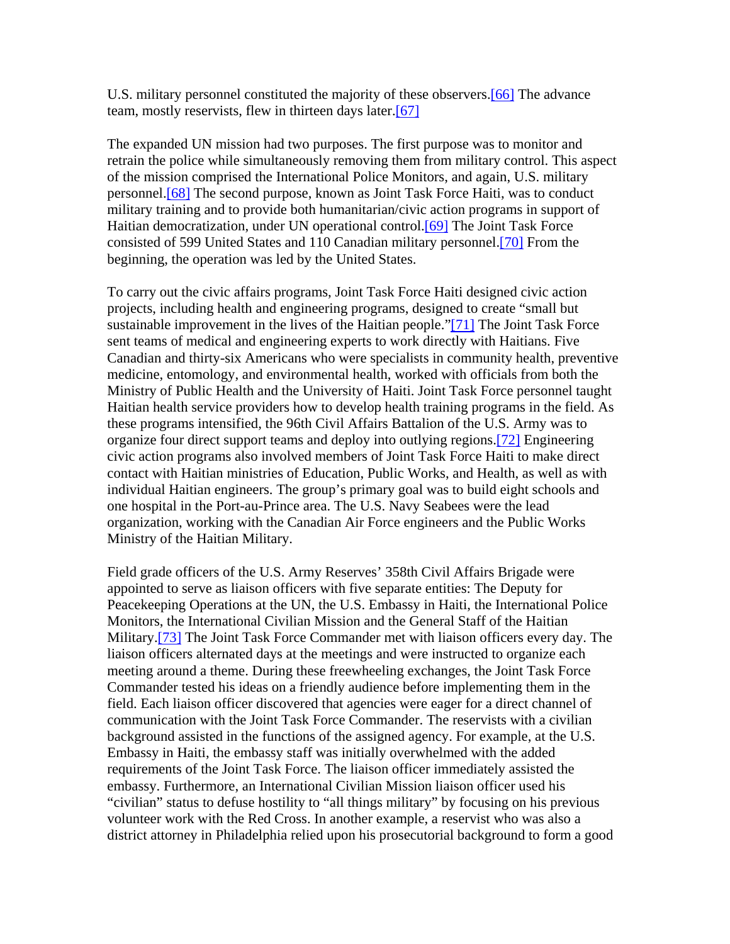U.S. military personnel constituted the majority of these observers.[66] The advance team, mostly reservists, flew in thirteen days later.[67]

The expanded UN mission had two purposes. The first purpose was to monitor and retrain the police while simultaneously removing them from military control. This aspect of the mission comprised the International Police Monitors, and again, U.S. military personnel.[68] The second purpose, known as Joint Task Force Haiti, was to conduct military training and to provide both humanitarian/civic action programs in support of Haitian democratization, under UN operational control.[69] The Joint Task Force consisted of 599 United States and 110 Canadian military personnel.[70] From the beginning, the operation was led by the United States.

To carry out the civic affairs programs, Joint Task Force Haiti designed civic action projects, including health and engineering programs, designed to create "small but sustainable improvement in the lives of the Haitian people."[71] The Joint Task Force sent teams of medical and engineering experts to work directly with Haitians. Five Canadian and thirty-six Americans who were specialists in community health, preventive medicine, entomology, and environmental health, worked with officials from both the Ministry of Public Health and the University of Haiti. Joint Task Force personnel taught Haitian health service providers how to develop health training programs in the field. As these programs intensified, the 96th Civil Affairs Battalion of the U.S. Army was to organize four direct support teams and deploy into outlying regions.[72] Engineering civic action programs also involved members of Joint Task Force Haiti to make direct contact with Haitian ministries of Education, Public Works, and Health, as well as with individual Haitian engineers. The group's primary goal was to build eight schools and one hospital in the Port-au-Prince area. The U.S. Navy Seabees were the lead organization, working with the Canadian Air Force engineers and the Public Works Ministry of the Haitian Military.

Field grade officers of the U.S. Army Reserves' 358th Civil Affairs Brigade were appointed to serve as liaison officers with five separate entities: The Deputy for Peacekeeping Operations at the UN, the U.S. Embassy in Haiti, the International Police Monitors, the International Civilian Mission and the General Staff of the Haitian Military.[73] The Joint Task Force Commander met with liaison officers every day. The liaison officers alternated days at the meetings and were instructed to organize each meeting around a theme. During these freewheeling exchanges, the Joint Task Force Commander tested his ideas on a friendly audience before implementing them in the field. Each liaison officer discovered that agencies were eager for a direct channel of communication with the Joint Task Force Commander. The reservists with a civilian background assisted in the functions of the assigned agency. For example, at the U.S. Embassy in Haiti, the embassy staff was initially overwhelmed with the added requirements of the Joint Task Force. The liaison officer immediately assisted the embassy. Furthermore, an International Civilian Mission liaison officer used his "civilian" status to defuse hostility to "all things military" by focusing on his previous volunteer work with the Red Cross. In another example, a reservist who was also a district attorney in Philadelphia relied upon his prosecutorial background to form a good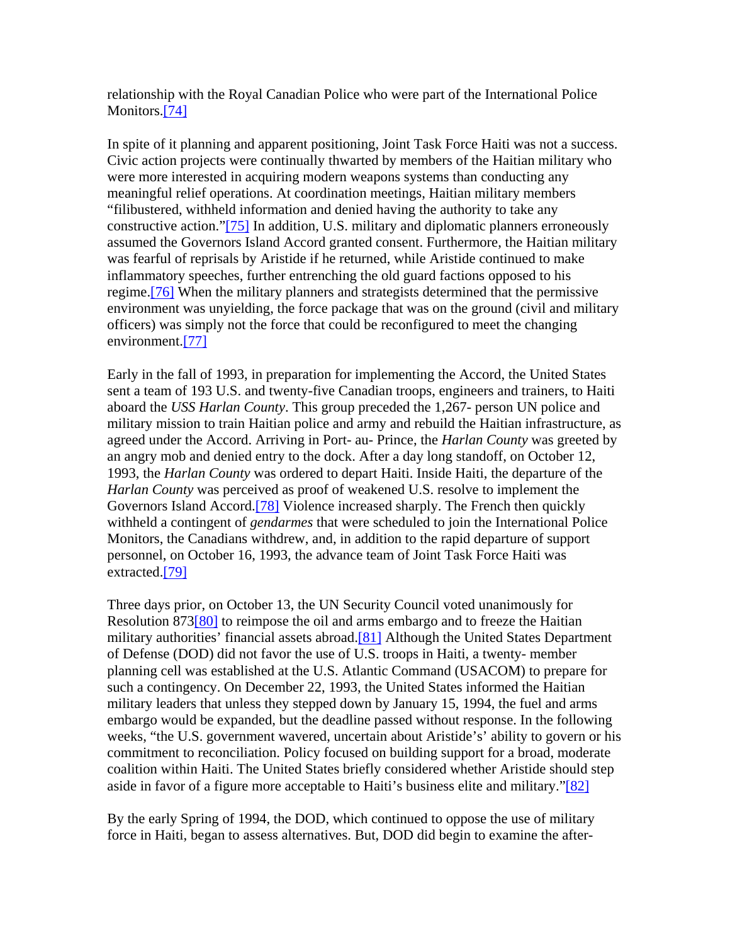relationship with the Royal Canadian Police who were part of the International Police Monitors.[74]

In spite of it planning and apparent positioning, Joint Task Force Haiti was not a success. Civic action projects were continually thwarted by members of the Haitian military who were more interested in acquiring modern weapons systems than conducting any meaningful relief operations. At coordination meetings, Haitian military members "filibustered, withheld information and denied having the authority to take any constructive action."[75] In addition, U.S. military and diplomatic planners erroneously assumed the Governors Island Accord granted consent. Furthermore, the Haitian military was fearful of reprisals by Aristide if he returned, while Aristide continued to make inflammatory speeches, further entrenching the old guard factions opposed to his regime.[76] When the military planners and strategists determined that the permissive environment was unyielding, the force package that was on the ground (civil and military officers) was simply not the force that could be reconfigured to meet the changing environment.[77]

Early in the fall of 1993, in preparation for implementing the Accord, the United States sent a team of 193 U.S. and twenty-five Canadian troops, engineers and trainers, to Haiti aboard the *USS Harlan County*. This group preceded the 1,267- person UN police and military mission to train Haitian police and army and rebuild the Haitian infrastructure, as agreed under the Accord. Arriving in Port- au- Prince, the *Harlan County* was greeted by an angry mob and denied entry to the dock. After a day long standoff, on October 12, 1993, the *Harlan County* was ordered to depart Haiti. Inside Haiti, the departure of the *Harlan County* was perceived as proof of weakened U.S. resolve to implement the Governors Island Accord.[78] Violence increased sharply. The French then quickly withheld a contingent of *gendarmes* that were scheduled to join the International Police Monitors, the Canadians withdrew, and, in addition to the rapid departure of support personnel, on October 16, 1993, the advance team of Joint Task Force Haiti was extracted.[79]

Three days prior, on October 13, the UN Security Council voted unanimously for Resolution 873[80] to reimpose the oil and arms embargo and to freeze the Haitian military authorities' financial assets abroad.<sup>[81]</sup> Although the United States Department of Defense (DOD) did not favor the use of U.S. troops in Haiti, a twenty- member planning cell was established at the U.S. Atlantic Command (USACOM) to prepare for such a contingency. On December 22, 1993, the United States informed the Haitian military leaders that unless they stepped down by January 15, 1994, the fuel and arms embargo would be expanded, but the deadline passed without response. In the following weeks, "the U.S. government wavered, uncertain about Aristide's' ability to govern or his commitment to reconciliation. Policy focused on building support for a broad, moderate coalition within Haiti. The United States briefly considered whether Aristide should step aside in favor of a figure more acceptable to Haiti's business elite and military."[82]

By the early Spring of 1994, the DOD, which continued to oppose the use of military force in Haiti, began to assess alternatives. But, DOD did begin to examine the after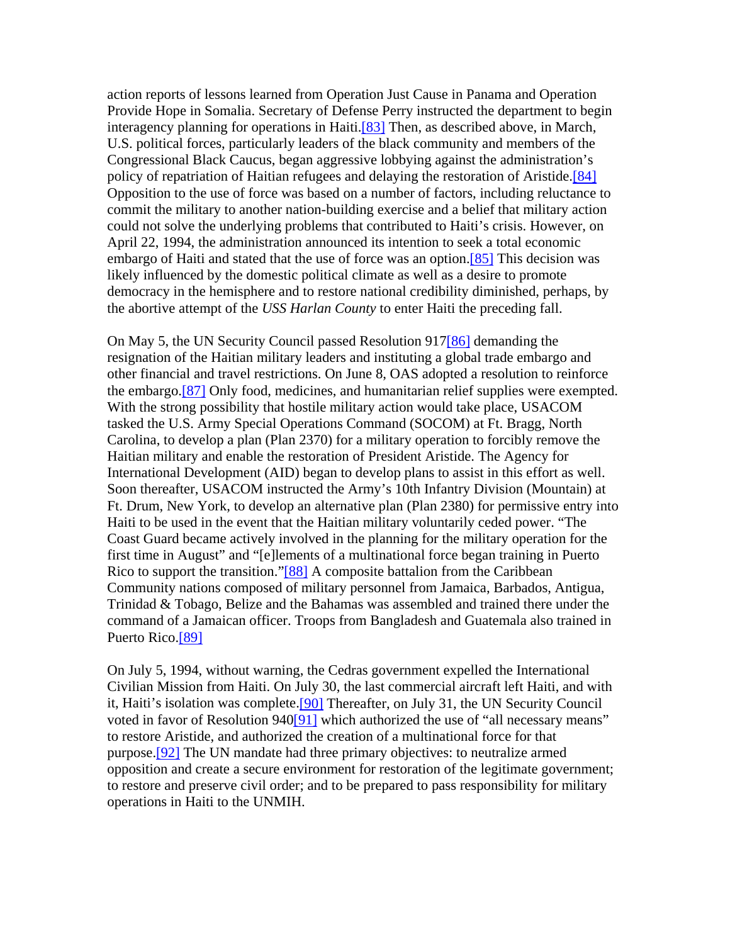action reports of lessons learned from Operation Just Cause in Panama and Operation Provide Hope in Somalia. Secretary of Defense Perry instructed the department to begin interagency planning for operations in Haiti.[83] Then, as described above, in March, U.S. political forces, particularly leaders of the black community and members of the Congressional Black Caucus, began aggressive lobbying against the administration's policy of repatriation of Haitian refugees and delaying the restoration of Aristide.<sup>[84]</sup> Opposition to the use of force was based on a number of factors, including reluctance to commit the military to another nation-building exercise and a belief that military action could not solve the underlying problems that contributed to Haiti's crisis. However, on April 22, 1994, the administration announced its intention to seek a total economic embargo of Haiti and stated that the use of force was an option.[85] This decision was likely influenced by the domestic political climate as well as a desire to promote democracy in the hemisphere and to restore national credibility diminished, perhaps, by the abortive attempt of the *USS Harlan County* to enter Haiti the preceding fall.

On May 5, the UN Security Council passed Resolution 917[86] demanding the resignation of the Haitian military leaders and instituting a global trade embargo and other financial and travel restrictions. On June 8, OAS adopted a resolution to reinforce the embargo.[87] Only food, medicines, and humanitarian relief supplies were exempted. With the strong possibility that hostile military action would take place, USACOM tasked the U.S. Army Special Operations Command (SOCOM) at Ft. Bragg, North Carolina, to develop a plan (Plan 2370) for a military operation to forcibly remove the Haitian military and enable the restoration of President Aristide. The Agency for International Development (AID) began to develop plans to assist in this effort as well. Soon thereafter, USACOM instructed the Army's 10th Infantry Division (Mountain) at Ft. Drum, New York, to develop an alternative plan (Plan 2380) for permissive entry into Haiti to be used in the event that the Haitian military voluntarily ceded power. "The Coast Guard became actively involved in the planning for the military operation for the first time in August" and "[e]lements of a multinational force began training in Puerto Rico to support the transition."[88] A composite battalion from the Caribbean Community nations composed of military personnel from Jamaica, Barbados, Antigua, Trinidad & Tobago, Belize and the Bahamas was assembled and trained there under the command of a Jamaican officer. Troops from Bangladesh and Guatemala also trained in Puerto Rico.<sup>[89]</sup>

On July 5, 1994, without warning, the Cedras government expelled the International Civilian Mission from Haiti. On July 30, the last commercial aircraft left Haiti, and with it, Haiti's isolation was complete.[90] Thereafter, on July 31, the UN Security Council voted in favor of Resolution 940[91] which authorized the use of "all necessary means" to restore Aristide, and authorized the creation of a multinational force for that purpose.[92] The UN mandate had three primary objectives: to neutralize armed opposition and create a secure environment for restoration of the legitimate government; to restore and preserve civil order; and to be prepared to pass responsibility for military operations in Haiti to the UNMIH.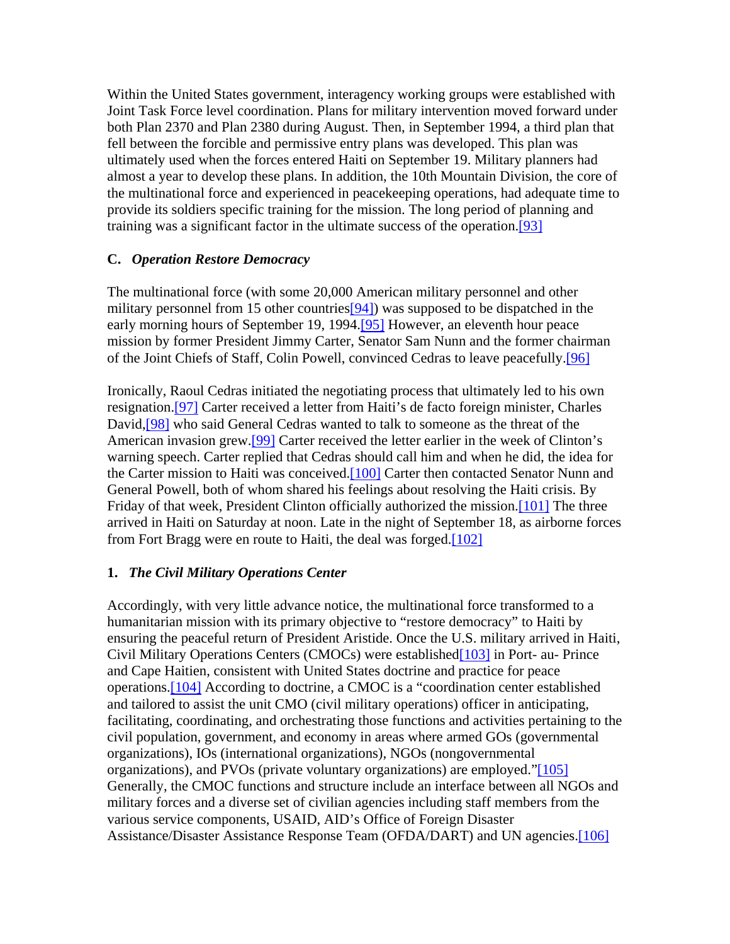Within the United States government, interagency working groups were established with Joint Task Force level coordination. Plans for military intervention moved forward under both Plan 2370 and Plan 2380 during August. Then, in September 1994, a third plan that fell between the forcible and permissive entry plans was developed. This plan was ultimately used when the forces entered Haiti on September 19. Military planners had almost a year to develop these plans. In addition, the 10th Mountain Division, the core of the multinational force and experienced in peacekeeping operations, had adequate time to provide its soldiers specific training for the mission. The long period of planning and training was a significant factor in the ultimate success of the operation.[93]

#### **C.** *Operation Restore Democracy*

The multinational force (with some 20,000 American military personnel and other military personnel from 15 other countries [94]) was supposed to be dispatched in the early morning hours of September 19, 1994.[95] However, an eleventh hour peace mission by former President Jimmy Carter, Senator Sam Nunn and the former chairman of the Joint Chiefs of Staff, Colin Powell, convinced Cedras to leave peacefully.[96]

Ironically, Raoul Cedras initiated the negotiating process that ultimately led to his own resignation.[97] Carter received a letter from Haiti's de facto foreign minister, Charles David, [98] who said General Cedras wanted to talk to someone as the threat of the American invasion grew.[99] Carter received the letter earlier in the week of Clinton's warning speech. Carter replied that Cedras should call him and when he did, the idea for the Carter mission to Haiti was conceived.<sup>[100]</sup> Carter then contacted Senator Nunn and General Powell, both of whom shared his feelings about resolving the Haiti crisis. By Friday of that week, President Clinton officially authorized the mission.[101] The three arrived in Haiti on Saturday at noon. Late in the night of September 18, as airborne forces from Fort Bragg were en route to Haiti, the deal was forged.[102]

#### **1.** *The Civil Military Operations Center*

Accordingly, with very little advance notice, the multinational force transformed to a humanitarian mission with its primary objective to "restore democracy" to Haiti by ensuring the peaceful return of President Aristide. Once the U.S. military arrived in Haiti, Civil Military Operations Centers (CMOCs) were established[103] in Port- au- Prince and Cape Haitien, consistent with United States doctrine and practice for peace operations.[104] According to doctrine, a CMOC is a "coordination center established and tailored to assist the unit CMO (civil military operations) officer in anticipating, facilitating, coordinating, and orchestrating those functions and activities pertaining to the civil population, government, and economy in areas where armed GOs (governmental organizations), IOs (international organizations), NGOs (nongovernmental organizations), and PVOs (private voluntary organizations) are employed."[105] Generally, the CMOC functions and structure include an interface between all NGOs and military forces and a diverse set of civilian agencies including staff members from the various service components, USAID, AID's Office of Foreign Disaster Assistance/Disaster Assistance Response Team (OFDA/DART) and UN agencies.[106]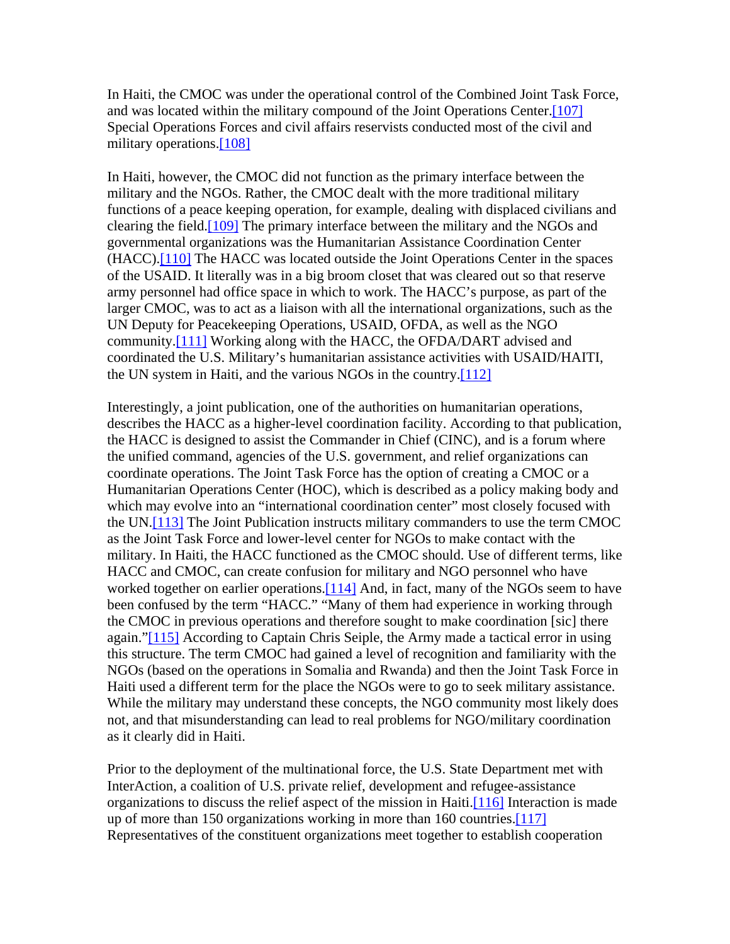In Haiti, the CMOC was under the operational control of the Combined Joint Task Force, and was located within the military compound of the Joint Operations Center.[107] Special Operations Forces and civil affairs reservists conducted most of the civil and military operations.<sup>[108]</sup>

In Haiti, however, the CMOC did not function as the primary interface between the military and the NGOs. Rather, the CMOC dealt with the more traditional military functions of a peace keeping operation, for example, dealing with displaced civilians and clearing the field.[109] The primary interface between the military and the NGOs and governmental organizations was the Humanitarian Assistance Coordination Center (HACC).[110] The HACC was located outside the Joint Operations Center in the spaces of the USAID. It literally was in a big broom closet that was cleared out so that reserve army personnel had office space in which to work. The HACC's purpose, as part of the larger CMOC, was to act as a liaison with all the international organizations, such as the UN Deputy for Peacekeeping Operations, USAID, OFDA, as well as the NGO community.[111] Working along with the HACC, the OFDA/DART advised and coordinated the U.S. Military's humanitarian assistance activities with USAID/HAITI, the UN system in Haiti, and the various NGOs in the country.[112]

Interestingly, a joint publication, one of the authorities on humanitarian operations, describes the HACC as a higher-level coordination facility. According to that publication, the HACC is designed to assist the Commander in Chief (CINC), and is a forum where the unified command, agencies of the U.S. government, and relief organizations can coordinate operations. The Joint Task Force has the option of creating a CMOC or a Humanitarian Operations Center (HOC), which is described as a policy making body and which may evolve into an "international coordination center" most closely focused with the UN.[113] The Joint Publication instructs military commanders to use the term CMOC as the Joint Task Force and lower-level center for NGOs to make contact with the military. In Haiti, the HACC functioned as the CMOC should. Use of different terms, like HACC and CMOC, can create confusion for military and NGO personnel who have worked together on earlier operations.<sup>[114]</sup> And, in fact, many of the NGOs seem to have been confused by the term "HACC." "Many of them had experience in working through the CMOC in previous operations and therefore sought to make coordination [sic] there again."[115] According to Captain Chris Seiple, the Army made a tactical error in using this structure. The term CMOC had gained a level of recognition and familiarity with the NGOs (based on the operations in Somalia and Rwanda) and then the Joint Task Force in Haiti used a different term for the place the NGOs were to go to seek military assistance. While the military may understand these concepts, the NGO community most likely does not, and that misunderstanding can lead to real problems for NGO/military coordination as it clearly did in Haiti.

Prior to the deployment of the multinational force, the U.S. State Department met with InterAction, a coalition of U.S. private relief, development and refugee-assistance organizations to discuss the relief aspect of the mission in Haiti. $[116]$  Interaction is made up of more than 150 organizations working in more than 160 countries.[117] Representatives of the constituent organizations meet together to establish cooperation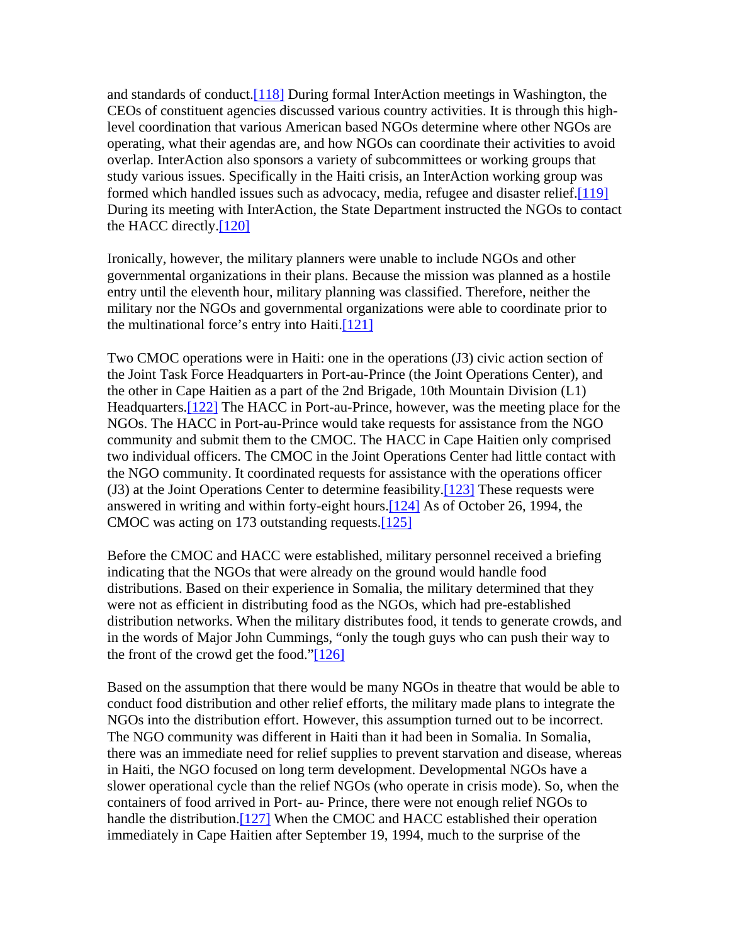and standards of conduct.[118] During formal InterAction meetings in Washington, the CEOs of constituent agencies discussed various country activities. It is through this highlevel coordination that various American based NGOs determine where other NGOs are operating, what their agendas are, and how NGOs can coordinate their activities to avoid overlap. InterAction also sponsors a variety of subcommittees or working groups that study various issues. Specifically in the Haiti crisis, an InterAction working group was formed which handled issues such as advocacy, media, refugee and disaster relief.[119] During its meeting with InterAction, the State Department instructed the NGOs to contact the HACC directly.[120]

Ironically, however, the military planners were unable to include NGOs and other governmental organizations in their plans. Because the mission was planned as a hostile entry until the eleventh hour, military planning was classified. Therefore, neither the military nor the NGOs and governmental organizations were able to coordinate prior to the multinational force's entry into Haiti.[121]

Two CMOC operations were in Haiti: one in the operations (J3) civic action section of the Joint Task Force Headquarters in Port-au-Prince (the Joint Operations Center), and the other in Cape Haitien as a part of the 2nd Brigade, 10th Mountain Division (L1) Headquarters.[122] The HACC in Port-au-Prince, however, was the meeting place for the NGOs. The HACC in Port-au-Prince would take requests for assistance from the NGO community and submit them to the CMOC. The HACC in Cape Haitien only comprised two individual officers. The CMOC in the Joint Operations Center had little contact with the NGO community. It coordinated requests for assistance with the operations officer (J3) at the Joint Operations Center to determine feasibility.[123] These requests were answered in writing and within forty-eight hours.[124] As of October 26, 1994, the CMOC was acting on 173 outstanding requests.[125]

Before the CMOC and HACC were established, military personnel received a briefing indicating that the NGOs that were already on the ground would handle food distributions. Based on their experience in Somalia, the military determined that they were not as efficient in distributing food as the NGOs, which had pre-established distribution networks. When the military distributes food, it tends to generate crowds, and in the words of Major John Cummings, "only the tough guys who can push their way to the front of the crowd get the food."[126]

Based on the assumption that there would be many NGOs in theatre that would be able to conduct food distribution and other relief efforts, the military made plans to integrate the NGOs into the distribution effort. However, this assumption turned out to be incorrect. The NGO community was different in Haiti than it had been in Somalia. In Somalia, there was an immediate need for relief supplies to prevent starvation and disease, whereas in Haiti, the NGO focused on long term development. Developmental NGOs have a slower operational cycle than the relief NGOs (who operate in crisis mode). So, when the containers of food arrived in Port- au- Prince, there were not enough relief NGOs to handle the distribution.<sup>[127]</sup> When the CMOC and HACC established their operation immediately in Cape Haitien after September 19, 1994, much to the surprise of the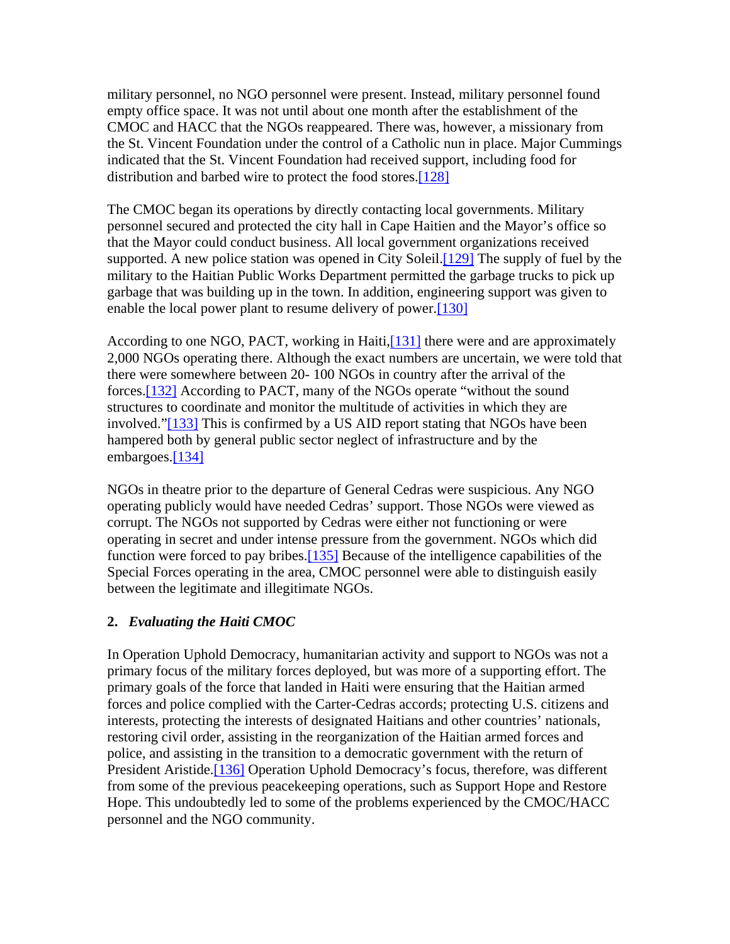military personnel, no NGO personnel were present. Instead, military personnel found empty office space. It was not until about one month after the establishment of the CMOC and HACC that the NGOs reappeared. There was, however, a missionary from the St. Vincent Foundation under the control of a Catholic nun in place. Major Cummings indicated that the St. Vincent Foundation had received support, including food for distribution and barbed wire to protect the food stores.[128]

The CMOC began its operations by directly contacting local governments. Military personnel secured and protected the city hall in Cape Haitien and the Mayor's office so that the Mayor could conduct business. All local government organizations received supported. A new police station was opened in City Soleil. [129] The supply of fuel by the military to the Haitian Public Works Department permitted the garbage trucks to pick up garbage that was building up in the town. In addition, engineering support was given to enable the local power plant to resume delivery of power.[130]

According to one NGO, PACT, working in Haiti,[131] there were and are approximately 2,000 NGOs operating there. Although the exact numbers are uncertain, we were told that there were somewhere between 20- 100 NGOs in country after the arrival of the forces.[132] According to PACT, many of the NGOs operate "without the sound structures to coordinate and monitor the multitude of activities in which they are involved."[133] This is confirmed by a US AID report stating that NGOs have been hampered both by general public sector neglect of infrastructure and by the embargoes.<sup>[134]</sup>

NGOs in theatre prior to the departure of General Cedras were suspicious. Any NGO operating publicly would have needed Cedras' support. Those NGOs were viewed as corrupt. The NGOs not supported by Cedras were either not functioning or were operating in secret and under intense pressure from the government. NGOs which did function were forced to pay bribes.<sup>[135]</sup> Because of the intelligence capabilities of the Special Forces operating in the area, CMOC personnel were able to distinguish easily between the legitimate and illegitimate NGOs.

#### **2.** *Evaluating the Haiti CMOC*

In Operation Uphold Democracy, humanitarian activity and support to NGOs was not a primary focus of the military forces deployed, but was more of a supporting effort. The primary goals of the force that landed in Haiti were ensuring that the Haitian armed forces and police complied with the Carter-Cedras accords; protecting U.S. citizens and interests, protecting the interests of designated Haitians and other countries' nationals, restoring civil order, assisting in the reorganization of the Haitian armed forces and police, and assisting in the transition to a democratic government with the return of President Aristide.<sup>[136]</sup> Operation Uphold Democracy's focus, therefore, was different from some of the previous peacekeeping operations, such as Support Hope and Restore Hope. This undoubtedly led to some of the problems experienced by the CMOC/HACC personnel and the NGO community.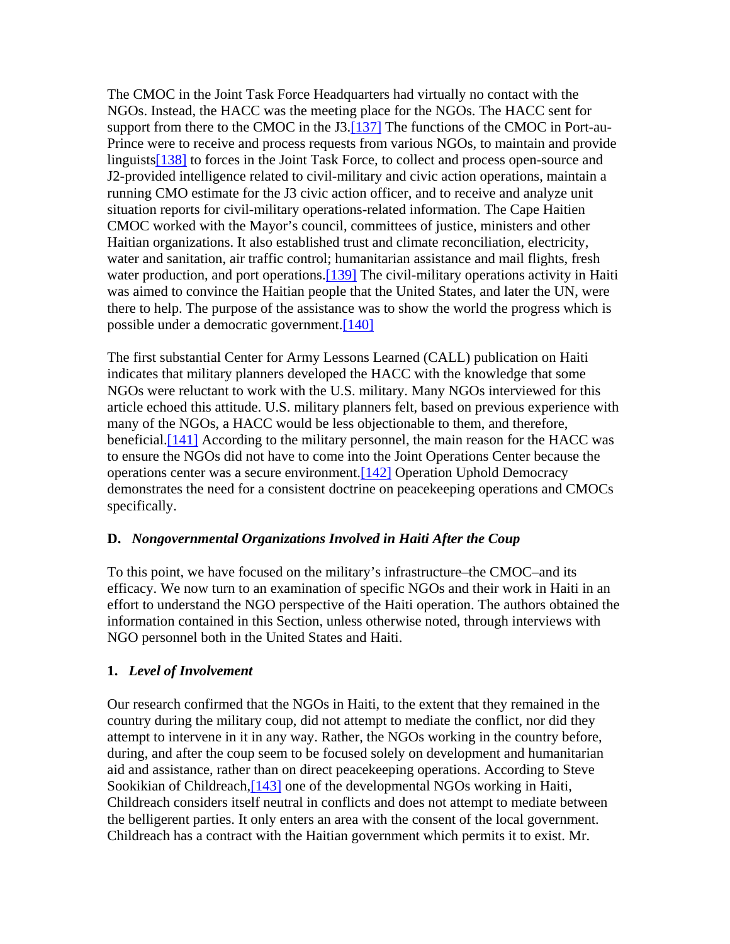The CMOC in the Joint Task Force Headquarters had virtually no contact with the NGOs. Instead, the HACC was the meeting place for the NGOs. The HACC sent for support from there to the CMOC in the J3.[137] The functions of the CMOC in Port-au-Prince were to receive and process requests from various NGOs, to maintain and provide linguists<sup>[138]</sup> to forces in the Joint Task Force, to collect and process open-source and J2-provided intelligence related to civil-military and civic action operations, maintain a running CMO estimate for the J3 civic action officer, and to receive and analyze unit situation reports for civil-military operations-related information. The Cape Haitien CMOC worked with the Mayor's council, committees of justice, ministers and other Haitian organizations. It also established trust and climate reconciliation, electricity, water and sanitation, air traffic control; humanitarian assistance and mail flights, fresh water production, and port operations.<sup>[139]</sup> The civil-military operations activity in Haiti was aimed to convince the Haitian people that the United States, and later the UN, were there to help. The purpose of the assistance was to show the world the progress which is possible under a democratic government.[140]

The first substantial Center for Army Lessons Learned (CALL) publication on Haiti indicates that military planners developed the HACC with the knowledge that some NGOs were reluctant to work with the U.S. military. Many NGOs interviewed for this article echoed this attitude. U.S. military planners felt, based on previous experience with many of the NGOs, a HACC would be less objectionable to them, and therefore, beneficial.<sup>[141]</sup> According to the military personnel, the main reason for the HACC was to ensure the NGOs did not have to come into the Joint Operations Center because the operations center was a secure environment.[142] Operation Uphold Democracy demonstrates the need for a consistent doctrine on peacekeeping operations and CMOCs specifically.

# **D.** *Nongovernmental Organizations Involved in Haiti After the Coup*

To this point, we have focused on the military's infrastructure–the CMOC–and its efficacy. We now turn to an examination of specific NGOs and their work in Haiti in an effort to understand the NGO perspective of the Haiti operation. The authors obtained the information contained in this Section, unless otherwise noted, through interviews with NGO personnel both in the United States and Haiti.

# **1.** *Level of Involvement*

Our research confirmed that the NGOs in Haiti, to the extent that they remained in the country during the military coup, did not attempt to mediate the conflict, nor did they attempt to intervene in it in any way. Rather, the NGOs working in the country before, during, and after the coup seem to be focused solely on development and humanitarian aid and assistance, rather than on direct peacekeeping operations. According to Steve Sookikian of Childreach, [143] one of the developmental NGOs working in Haiti, Childreach considers itself neutral in conflicts and does not attempt to mediate between the belligerent parties. It only enters an area with the consent of the local government. Childreach has a contract with the Haitian government which permits it to exist. Mr.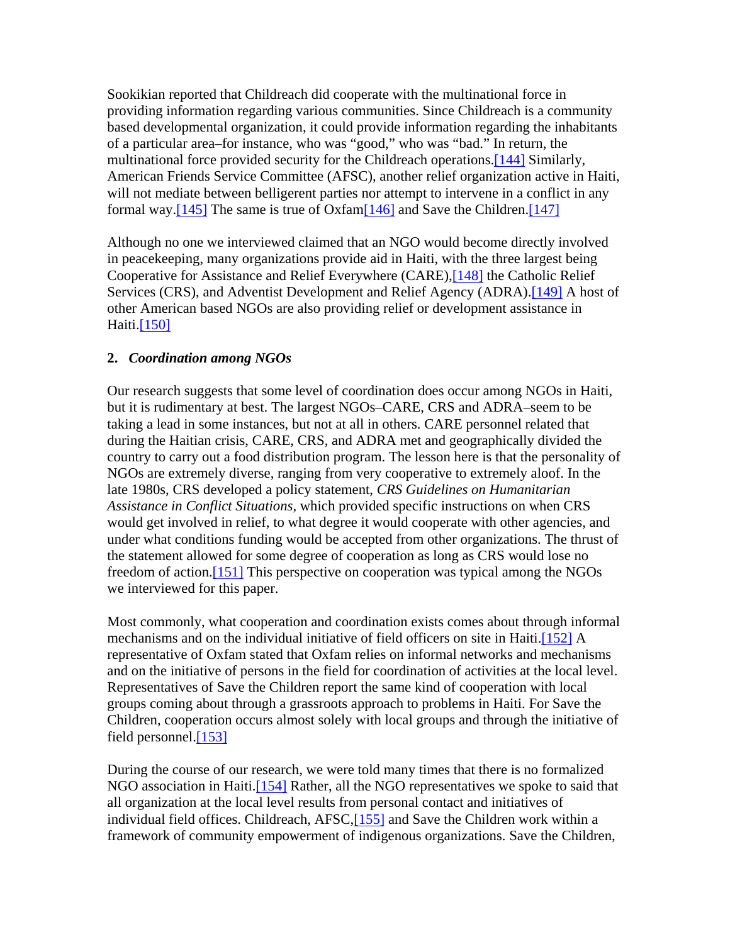Sookikian reported that Childreach did cooperate with the multinational force in providing information regarding various communities. Since Childreach is a community based developmental organization, it could provide information regarding the inhabitants of a particular area–for instance, who was "good," who was "bad." In return, the multinational force provided security for the Childreach operations.[144] Similarly, American Friends Service Committee (AFSC), another relief organization active in Haiti, will not mediate between belligerent parties nor attempt to intervene in a conflict in any formal way.[145] The same is true of Oxfam[146] and Save the Children.[147]

Although no one we interviewed claimed that an NGO would become directly involved in peacekeeping, many organizations provide aid in Haiti, with the three largest being Cooperative for Assistance and Relief Everywhere (CARE),[148] the Catholic Relief Services (CRS), and Adventist Development and Relief Agency (ADRA).[149] A host of other American based NGOs are also providing relief or development assistance in Haiti.<sup>[150]</sup>

### **2.** *Coordination among NGOs*

Our research suggests that some level of coordination does occur among NGOs in Haiti, but it is rudimentary at best. The largest NGOs–CARE, CRS and ADRA–seem to be taking a lead in some instances, but not at all in others. CARE personnel related that during the Haitian crisis, CARE, CRS, and ADRA met and geographically divided the country to carry out a food distribution program. The lesson here is that the personality of NGOs are extremely diverse, ranging from very cooperative to extremely aloof. In the late 1980s, CRS developed a policy statement, *CRS Guidelines on Humanitarian Assistance in Conflict Situations,* which provided specific instructions on when CRS would get involved in relief, to what degree it would cooperate with other agencies, and under what conditions funding would be accepted from other organizations. The thrust of the statement allowed for some degree of cooperation as long as CRS would lose no freedom of action.[151] This perspective on cooperation was typical among the NGOs we interviewed for this paper.

Most commonly, what cooperation and coordination exists comes about through informal mechanisms and on the individual initiative of field officers on site in Haiti.[152] A representative of Oxfam stated that Oxfam relies on informal networks and mechanisms and on the initiative of persons in the field for coordination of activities at the local level. Representatives of Save the Children report the same kind of cooperation with local groups coming about through a grassroots approach to problems in Haiti. For Save the Children, cooperation occurs almost solely with local groups and through the initiative of field personnel.[153]

During the course of our research, we were told many times that there is no formalized NGO association in Haiti.[154] Rather, all the NGO representatives we spoke to said that all organization at the local level results from personal contact and initiatives of individual field offices. Childreach, AFSC, [155] and Save the Children work within a framework of community empowerment of indigenous organizations. Save the Children,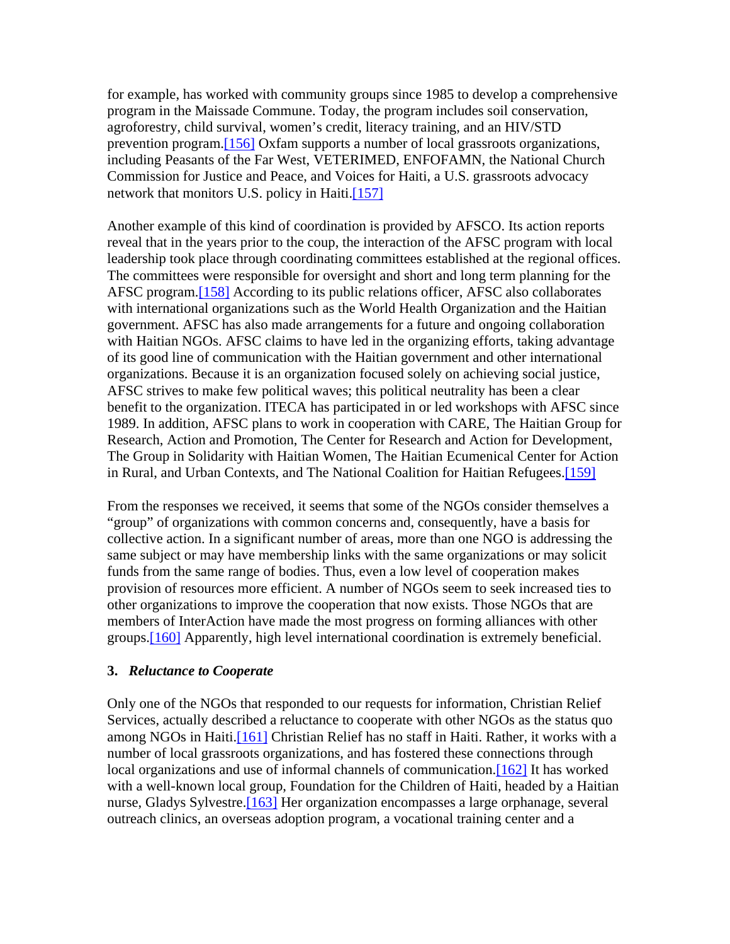for example, has worked with community groups since 1985 to develop a comprehensive program in the Maissade Commune. Today, the program includes soil conservation, agroforestry, child survival, women's credit, literacy training, and an HIV/STD prevention program.[156] Oxfam supports a number of local grassroots organizations, including Peasants of the Far West, VETERIMED, ENFOFAMN, the National Church Commission for Justice and Peace, and Voices for Haiti, a U.S. grassroots advocacy network that monitors U.S. policy in Haiti.[157]

Another example of this kind of coordination is provided by AFSCO. Its action reports reveal that in the years prior to the coup, the interaction of the AFSC program with local leadership took place through coordinating committees established at the regional offices. The committees were responsible for oversight and short and long term planning for the AFSC program.[158] According to its public relations officer, AFSC also collaborates with international organizations such as the World Health Organization and the Haitian government. AFSC has also made arrangements for a future and ongoing collaboration with Haitian NGOs. AFSC claims to have led in the organizing efforts, taking advantage of its good line of communication with the Haitian government and other international organizations. Because it is an organization focused solely on achieving social justice, AFSC strives to make few political waves; this political neutrality has been a clear benefit to the organization. ITECA has participated in or led workshops with AFSC since 1989. In addition, AFSC plans to work in cooperation with CARE, The Haitian Group for Research, Action and Promotion, The Center for Research and Action for Development, The Group in Solidarity with Haitian Women, The Haitian Ecumenical Center for Action in Rural, and Urban Contexts, and The National Coalition for Haitian Refugees.[159]

From the responses we received, it seems that some of the NGOs consider themselves a "group" of organizations with common concerns and, consequently, have a basis for collective action. In a significant number of areas, more than one NGO is addressing the same subject or may have membership links with the same organizations or may solicit funds from the same range of bodies. Thus, even a low level of cooperation makes provision of resources more efficient. A number of NGOs seem to seek increased ties to other organizations to improve the cooperation that now exists. Those NGOs that are members of InterAction have made the most progress on forming alliances with other groups.[160] Apparently, high level international coordination is extremely beneficial.

#### **3.** *Reluctance to Cooperate*

Only one of the NGOs that responded to our requests for information, Christian Relief Services, actually described a reluctance to cooperate with other NGOs as the status quo among NGOs in Haiti.[161] Christian Relief has no staff in Haiti. Rather, it works with a number of local grassroots organizations, and has fostered these connections through local organizations and use of informal channels of communication.<sup>[162]</sup> It has worked with a well-known local group, Foundation for the Children of Haiti, headed by a Haitian nurse, Gladys Sylvestre.<sup>[163]</sup> Her organization encompasses a large orphanage, several outreach clinics, an overseas adoption program, a vocational training center and a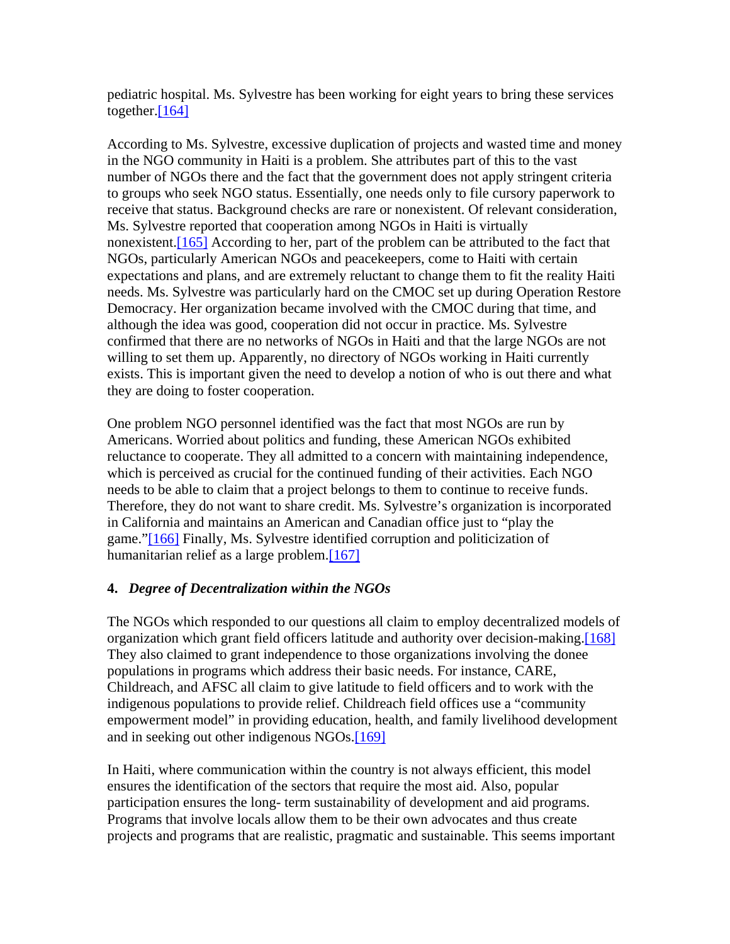pediatric hospital. Ms. Sylvestre has been working for eight years to bring these services together.[164]

According to Ms. Sylvestre, excessive duplication of projects and wasted time and money in the NGO community in Haiti is a problem. She attributes part of this to the vast number of NGOs there and the fact that the government does not apply stringent criteria to groups who seek NGO status. Essentially, one needs only to file cursory paperwork to receive that status. Background checks are rare or nonexistent. Of relevant consideration, Ms. Sylvestre reported that cooperation among NGOs in Haiti is virtually nonexistent.[165] According to her, part of the problem can be attributed to the fact that NGOs, particularly American NGOs and peacekeepers, come to Haiti with certain expectations and plans, and are extremely reluctant to change them to fit the reality Haiti needs. Ms. Sylvestre was particularly hard on the CMOC set up during Operation Restore Democracy. Her organization became involved with the CMOC during that time, and although the idea was good, cooperation did not occur in practice. Ms. Sylvestre confirmed that there are no networks of NGOs in Haiti and that the large NGOs are not willing to set them up. Apparently, no directory of NGOs working in Haiti currently exists. This is important given the need to develop a notion of who is out there and what they are doing to foster cooperation.

One problem NGO personnel identified was the fact that most NGOs are run by Americans. Worried about politics and funding, these American NGOs exhibited reluctance to cooperate. They all admitted to a concern with maintaining independence, which is perceived as crucial for the continued funding of their activities. Each NGO needs to be able to claim that a project belongs to them to continue to receive funds. Therefore, they do not want to share credit. Ms. Sylvestre's organization is incorporated in California and maintains an American and Canadian office just to "play the game."[166] Finally, Ms. Sylvestre identified corruption and politicization of humanitarian relief as a large problem.<sup>[167]</sup>

# **4.** *Degree of Decentralization within the NGOs*

The NGOs which responded to our questions all claim to employ decentralized models of organization which grant field officers latitude and authority over decision-making.[168] They also claimed to grant independence to those organizations involving the donee populations in programs which address their basic needs. For instance, CARE, Childreach, and AFSC all claim to give latitude to field officers and to work with the indigenous populations to provide relief. Childreach field offices use a "community empowerment model" in providing education, health, and family livelihood development and in seeking out other indigenous NGOs.[169]

In Haiti, where communication within the country is not always efficient, this model ensures the identification of the sectors that require the most aid. Also, popular participation ensures the long- term sustainability of development and aid programs. Programs that involve locals allow them to be their own advocates and thus create projects and programs that are realistic, pragmatic and sustainable. This seems important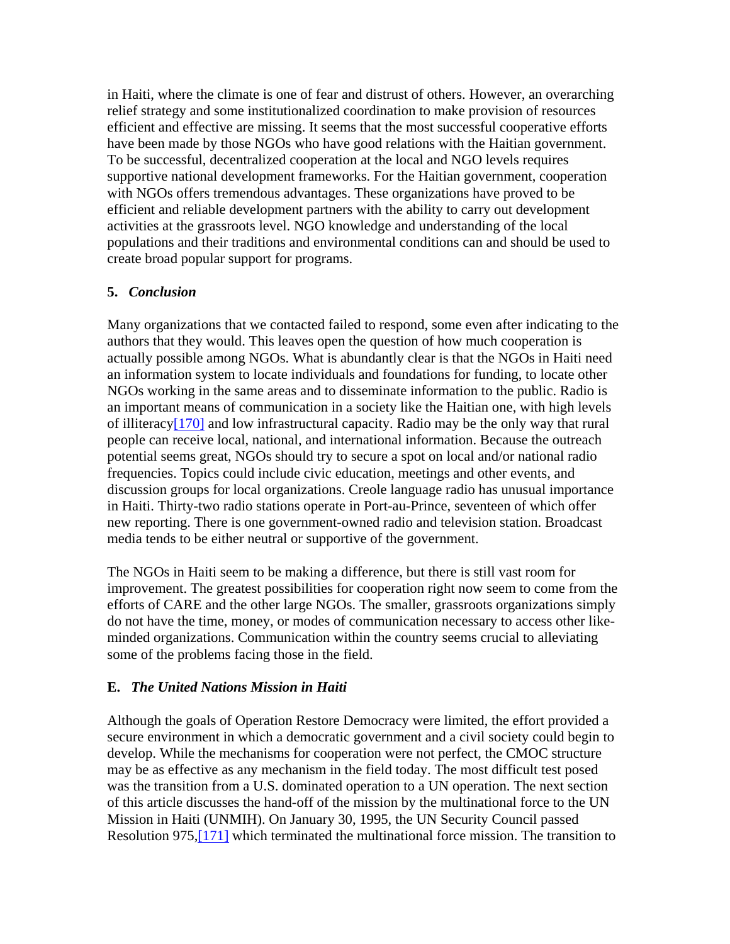in Haiti, where the climate is one of fear and distrust of others. However, an overarching relief strategy and some institutionalized coordination to make provision of resources efficient and effective are missing. It seems that the most successful cooperative efforts have been made by those NGOs who have good relations with the Haitian government. To be successful, decentralized cooperation at the local and NGO levels requires supportive national development frameworks. For the Haitian government, cooperation with NGOs offers tremendous advantages. These organizations have proved to be efficient and reliable development partners with the ability to carry out development activities at the grassroots level. NGO knowledge and understanding of the local populations and their traditions and environmental conditions can and should be used to create broad popular support for programs.

#### **5.** *Conclusion*

Many organizations that we contacted failed to respond, some even after indicating to the authors that they would. This leaves open the question of how much cooperation is actually possible among NGOs. What is abundantly clear is that the NGOs in Haiti need an information system to locate individuals and foundations for funding, to locate other NGOs working in the same areas and to disseminate information to the public. Radio is an important means of communication in a society like the Haitian one, with high levels of illiteracy[170] and low infrastructural capacity. Radio may be the only way that rural people can receive local, national, and international information. Because the outreach potential seems great, NGOs should try to secure a spot on local and/or national radio frequencies. Topics could include civic education, meetings and other events, and discussion groups for local organizations. Creole language radio has unusual importance in Haiti. Thirty-two radio stations operate in Port-au-Prince, seventeen of which offer new reporting. There is one government-owned radio and television station. Broadcast media tends to be either neutral or supportive of the government.

The NGOs in Haiti seem to be making a difference, but there is still vast room for improvement. The greatest possibilities for cooperation right now seem to come from the efforts of CARE and the other large NGOs. The smaller, grassroots organizations simply do not have the time, money, or modes of communication necessary to access other likeminded organizations. Communication within the country seems crucial to alleviating some of the problems facing those in the field.

#### **E.** *The United Nations Mission in Haiti*

Although the goals of Operation Restore Democracy were limited, the effort provided a secure environment in which a democratic government and a civil society could begin to develop. While the mechanisms for cooperation were not perfect, the CMOC structure may be as effective as any mechanism in the field today. The most difficult test posed was the transition from a U.S. dominated operation to a UN operation. The next section of this article discusses the hand-off of the mission by the multinational force to the UN Mission in Haiti (UNMIH). On January 30, 1995, the UN Security Council passed Resolution 975,[171] which terminated the multinational force mission. The transition to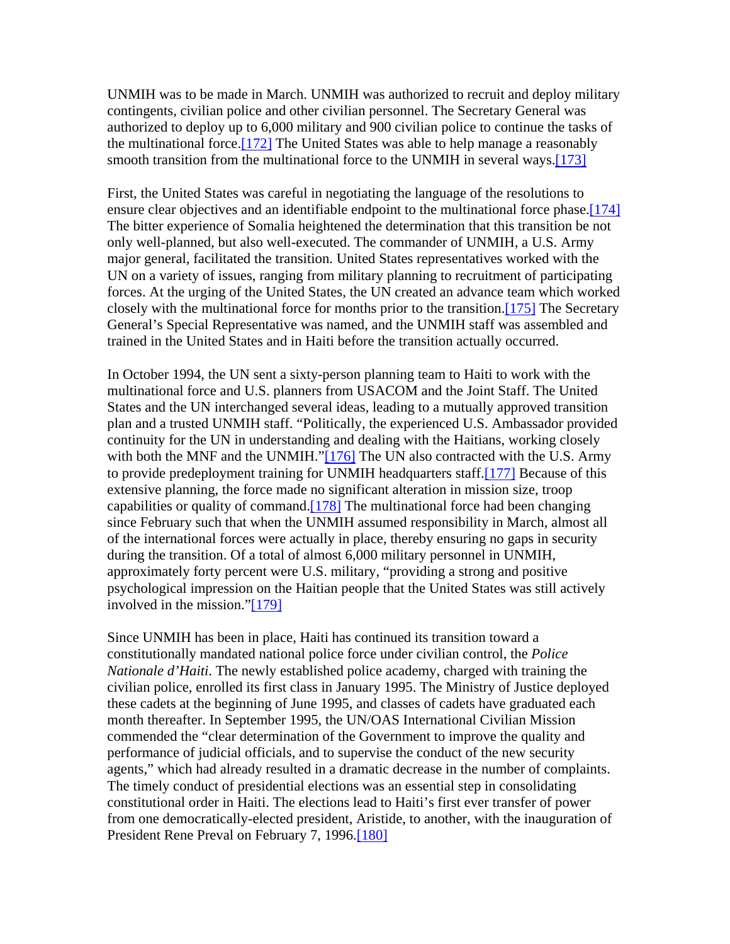UNMIH was to be made in March. UNMIH was authorized to recruit and deploy military contingents, civilian police and other civilian personnel. The Secretary General was authorized to deploy up to 6,000 military and 900 civilian police to continue the tasks of the multinational force. $[172]$  The United States was able to help manage a reasonably smooth transition from the multinational force to the UNMIH in several ways.<sup>[173]</sup>

First, the United States was careful in negotiating the language of the resolutions to ensure clear objectives and an identifiable endpoint to the multinational force phase.<sup>[174]</sup> The bitter experience of Somalia heightened the determination that this transition be not only well-planned, but also well-executed. The commander of UNMIH, a U.S. Army major general, facilitated the transition. United States representatives worked with the UN on a variety of issues, ranging from military planning to recruitment of participating forces. At the urging of the United States, the UN created an advance team which worked closely with the multinational force for months prior to the transition.[175] The Secretary General's Special Representative was named, and the UNMIH staff was assembled and trained in the United States and in Haiti before the transition actually occurred.

In October 1994, the UN sent a sixty-person planning team to Haiti to work with the multinational force and U.S. planners from USACOM and the Joint Staff. The United States and the UN interchanged several ideas, leading to a mutually approved transition plan and a trusted UNMIH staff. "Politically, the experienced U.S. Ambassador provided continuity for the UN in understanding and dealing with the Haitians, working closely with both the MNF and the UNMIH." $[176]$  The UN also contracted with the U.S. Army to provide predeployment training for UNMIH headquarters staff.[177] Because of this extensive planning, the force made no significant alteration in mission size, troop capabilities or quality of command.[178] The multinational force had been changing since February such that when the UNMIH assumed responsibility in March, almost all of the international forces were actually in place, thereby ensuring no gaps in security during the transition. Of a total of almost 6,000 military personnel in UNMIH, approximately forty percent were U.S. military, "providing a strong and positive psychological impression on the Haitian people that the United States was still actively involved in the mission."[179]

Since UNMIH has been in place, Haiti has continued its transition toward a constitutionally mandated national police force under civilian control, the *Police Nationale d'Haiti*. The newly established police academy, charged with training the civilian police, enrolled its first class in January 1995. The Ministry of Justice deployed these cadets at the beginning of June 1995, and classes of cadets have graduated each month thereafter. In September 1995, the UN/OAS International Civilian Mission commended the "clear determination of the Government to improve the quality and performance of judicial officials, and to supervise the conduct of the new security agents," which had already resulted in a dramatic decrease in the number of complaints. The timely conduct of presidential elections was an essential step in consolidating constitutional order in Haiti. The elections lead to Haiti's first ever transfer of power from one democratically-elected president, Aristide, to another, with the inauguration of President Rene Preval on February 7, 1996.[180]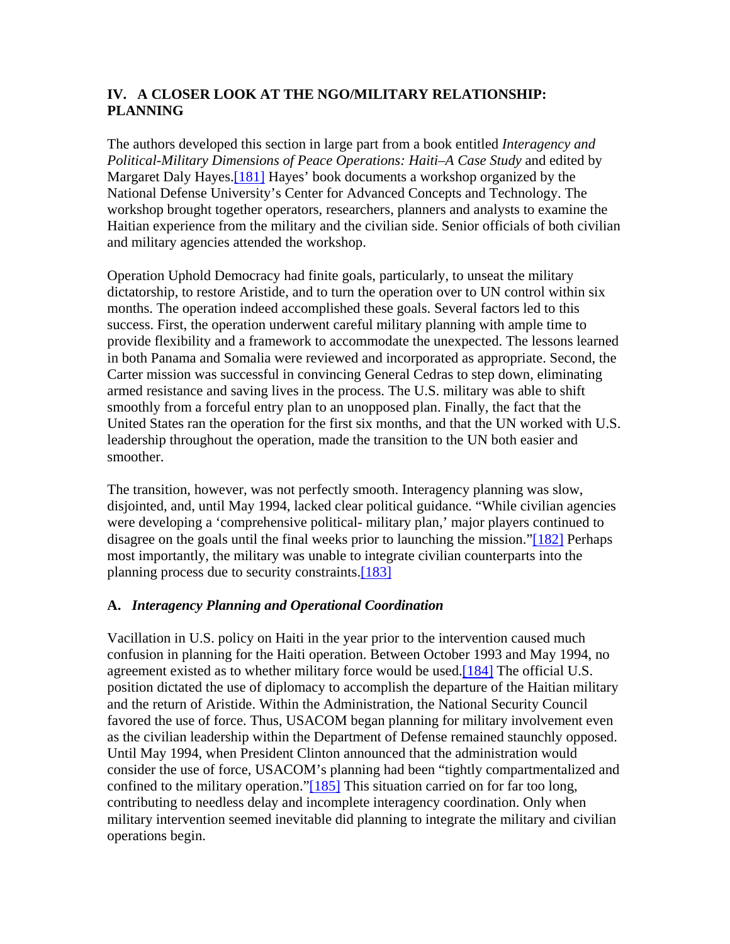# **IV. A CLOSER LOOK AT THE NGO/MILITARY RELATIONSHIP: PLANNING**

The authors developed this section in large part from a book entitled *Interagency and Political-Military Dimensions of Peace Operations: Haiti–A Case Study* and edited by Margaret Daly Hayes.<sup>[181]</sup> Hayes' book documents a workshop organized by the National Defense University's Center for Advanced Concepts and Technology. The workshop brought together operators, researchers, planners and analysts to examine the Haitian experience from the military and the civilian side. Senior officials of both civilian and military agencies attended the workshop.

Operation Uphold Democracy had finite goals, particularly, to unseat the military dictatorship, to restore Aristide, and to turn the operation over to UN control within six months. The operation indeed accomplished these goals. Several factors led to this success. First, the operation underwent careful military planning with ample time to provide flexibility and a framework to accommodate the unexpected. The lessons learned in both Panama and Somalia were reviewed and incorporated as appropriate. Second, the Carter mission was successful in convincing General Cedras to step down, eliminating armed resistance and saving lives in the process. The U.S. military was able to shift smoothly from a forceful entry plan to an unopposed plan. Finally, the fact that the United States ran the operation for the first six months, and that the UN worked with U.S. leadership throughout the operation, made the transition to the UN both easier and smoother.

The transition, however, was not perfectly smooth. Interagency planning was slow, disjointed, and, until May 1994, lacked clear political guidance. "While civilian agencies were developing a 'comprehensive political- military plan,' major players continued to disagree on the goals until the final weeks prior to launching the mission."[182] Perhaps most importantly, the military was unable to integrate civilian counterparts into the planning process due to security constraints.[183]

# **A.** *Interagency Planning and Operational Coordination*

Vacillation in U.S. policy on Haiti in the year prior to the intervention caused much confusion in planning for the Haiti operation. Between October 1993 and May 1994, no agreement existed as to whether military force would be used.[184] The official U.S. position dictated the use of diplomacy to accomplish the departure of the Haitian military and the return of Aristide. Within the Administration, the National Security Council favored the use of force. Thus, USACOM began planning for military involvement even as the civilian leadership within the Department of Defense remained staunchly opposed. Until May 1994, when President Clinton announced that the administration would consider the use of force, USACOM's planning had been "tightly compartmentalized and confined to the military operation."[185] This situation carried on for far too long, contributing to needless delay and incomplete interagency coordination. Only when military intervention seemed inevitable did planning to integrate the military and civilian operations begin.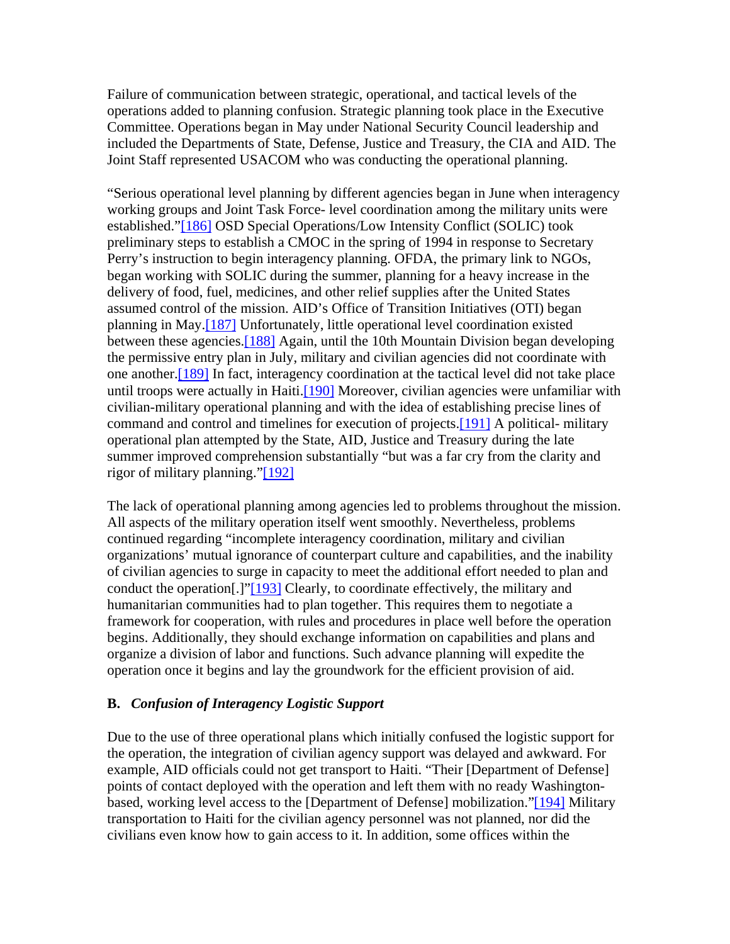Failure of communication between strategic, operational, and tactical levels of the operations added to planning confusion. Strategic planning took place in the Executive Committee. Operations began in May under National Security Council leadership and included the Departments of State, Defense, Justice and Treasury, the CIA and AID. The Joint Staff represented USACOM who was conducting the operational planning.

"Serious operational level planning by different agencies began in June when interagency working groups and Joint Task Force- level coordination among the military units were established."[186] OSD Special Operations/Low Intensity Conflict (SOLIC) took preliminary steps to establish a CMOC in the spring of 1994 in response to Secretary Perry's instruction to begin interagency planning. OFDA, the primary link to NGOs, began working with SOLIC during the summer, planning for a heavy increase in the delivery of food, fuel, medicines, and other relief supplies after the United States assumed control of the mission. AID's Office of Transition Initiatives (OTI) began planning in May.[187] Unfortunately, little operational level coordination existed between these agencies.[188] Again, until the 10th Mountain Division began developing the permissive entry plan in July, military and civilian agencies did not coordinate with one another.[189] In fact, interagency coordination at the tactical level did not take place until troops were actually in Haiti.<sup>[190]</sup> Moreover, civilian agencies were unfamiliar with civilian-military operational planning and with the idea of establishing precise lines of command and control and timelines for execution of projects.[191] A political- military operational plan attempted by the State, AID, Justice and Treasury during the late summer improved comprehension substantially "but was a far cry from the clarity and rigor of military planning."[192]

The lack of operational planning among agencies led to problems throughout the mission. All aspects of the military operation itself went smoothly. Nevertheless, problems continued regarding "incomplete interagency coordination, military and civilian organizations' mutual ignorance of counterpart culture and capabilities, and the inability of civilian agencies to surge in capacity to meet the additional effort needed to plan and conduct the operation[.]"[193] Clearly, to coordinate effectively, the military and humanitarian communities had to plan together. This requires them to negotiate a framework for cooperation, with rules and procedures in place well before the operation begins. Additionally, they should exchange information on capabilities and plans and organize a division of labor and functions. Such advance planning will expedite the operation once it begins and lay the groundwork for the efficient provision of aid.

#### **B.** *Confusion of Interagency Logistic Support*

Due to the use of three operational plans which initially confused the logistic support for the operation, the integration of civilian agency support was delayed and awkward. For example, AID officials could not get transport to Haiti. "Their [Department of Defense] points of contact deployed with the operation and left them with no ready Washingtonbased, working level access to the [Department of Defense] mobilization."[194] Military transportation to Haiti for the civilian agency personnel was not planned, nor did the civilians even know how to gain access to it. In addition, some offices within the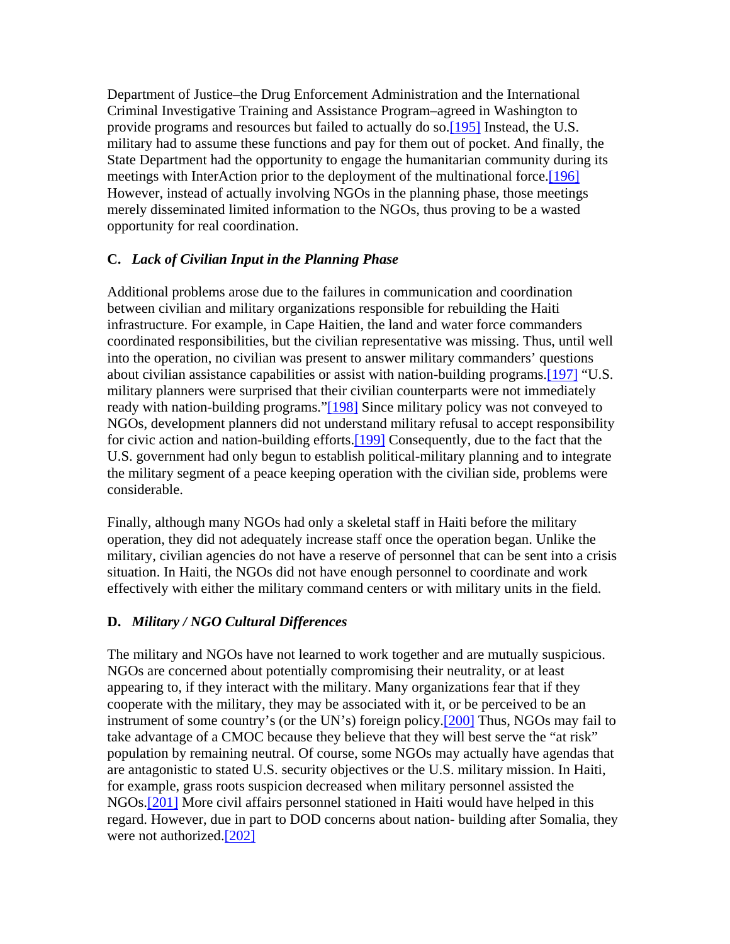Department of Justice–the Drug Enforcement Administration and the International Criminal Investigative Training and Assistance Program–agreed in Washington to provide programs and resources but failed to actually do so.[195] Instead, the U.S. military had to assume these functions and pay for them out of pocket. And finally, the State Department had the opportunity to engage the humanitarian community during its meetings with InterAction prior to the deployment of the multinational force.[196] However, instead of actually involving NGOs in the planning phase, those meetings merely disseminated limited information to the NGOs, thus proving to be a wasted opportunity for real coordination.

### **C.** *Lack of Civilian Input in the Planning Phase*

Additional problems arose due to the failures in communication and coordination between civilian and military organizations responsible for rebuilding the Haiti infrastructure. For example, in Cape Haitien, the land and water force commanders coordinated responsibilities, but the civilian representative was missing. Thus, until well into the operation, no civilian was present to answer military commanders' questions about civilian assistance capabilities or assist with nation-building programs.[197] "U.S. military planners were surprised that their civilian counterparts were not immediately ready with nation-building programs."[198] Since military policy was not conveyed to NGOs, development planners did not understand military refusal to accept responsibility for civic action and nation-building efforts.[199] Consequently, due to the fact that the U.S. government had only begun to establish political-military planning and to integrate the military segment of a peace keeping operation with the civilian side, problems were considerable.

Finally, although many NGOs had only a skeletal staff in Haiti before the military operation, they did not adequately increase staff once the operation began. Unlike the military, civilian agencies do not have a reserve of personnel that can be sent into a crisis situation. In Haiti, the NGOs did not have enough personnel to coordinate and work effectively with either the military command centers or with military units in the field.

#### **D.** *Military / NGO Cultural Differences*

The military and NGOs have not learned to work together and are mutually suspicious. NGOs are concerned about potentially compromising their neutrality, or at least appearing to, if they interact with the military. Many organizations fear that if they cooperate with the military, they may be associated with it, or be perceived to be an instrument of some country's (or the UN's) foreign policy.<sup>[200]</sup> Thus, NGOs may fail to take advantage of a CMOC because they believe that they will best serve the "at risk" population by remaining neutral. Of course, some NGOs may actually have agendas that are antagonistic to stated U.S. security objectives or the U.S. military mission. In Haiti, for example, grass roots suspicion decreased when military personnel assisted the NGOs.[201] More civil affairs personnel stationed in Haiti would have helped in this regard. However, due in part to DOD concerns about nation- building after Somalia, they were not authorized.[202]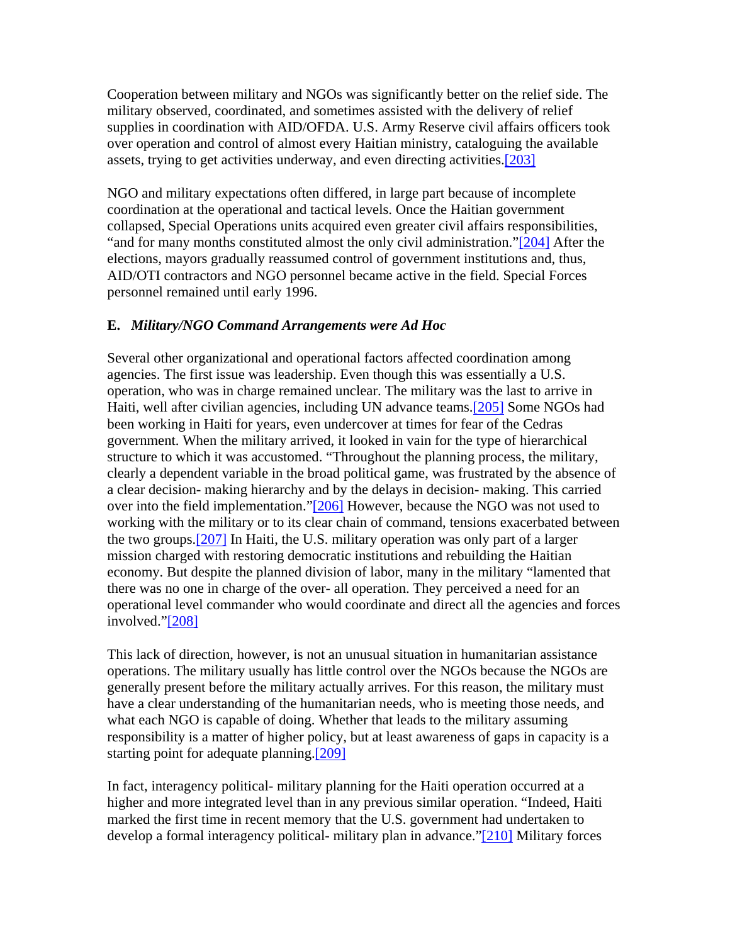Cooperation between military and NGOs was significantly better on the relief side. The military observed, coordinated, and sometimes assisted with the delivery of relief supplies in coordination with AID/OFDA. U.S. Army Reserve civil affairs officers took over operation and control of almost every Haitian ministry, cataloguing the available assets, trying to get activities underway, and even directing activities.[203]

NGO and military expectations often differed, in large part because of incomplete coordination at the operational and tactical levels. Once the Haitian government collapsed, Special Operations units acquired even greater civil affairs responsibilities, "and for many months constituted almost the only civil administration."[204] After the elections, mayors gradually reassumed control of government institutions and, thus, AID/OTI contractors and NGO personnel became active in the field. Special Forces personnel remained until early 1996.

### **E.** *Military/NGO Command Arrangements were Ad Hoc*

Several other organizational and operational factors affected coordination among agencies. The first issue was leadership. Even though this was essentially a U.S. operation, who was in charge remained unclear. The military was the last to arrive in Haiti, well after civilian agencies, including UN advance teams.<sup>[205]</sup> Some NGOs had been working in Haiti for years, even undercover at times for fear of the Cedras government. When the military arrived, it looked in vain for the type of hierarchical structure to which it was accustomed. "Throughout the planning process, the military, clearly a dependent variable in the broad political game, was frustrated by the absence of a clear decision- making hierarchy and by the delays in decision- making. This carried over into the field implementation."[206] However, because the NGO was not used to working with the military or to its clear chain of command, tensions exacerbated between the two groups.[207] In Haiti, the U.S. military operation was only part of a larger mission charged with restoring democratic institutions and rebuilding the Haitian economy. But despite the planned division of labor, many in the military "lamented that there was no one in charge of the over- all operation. They perceived a need for an operational level commander who would coordinate and direct all the agencies and forces involved."[208]

This lack of direction, however, is not an unusual situation in humanitarian assistance operations. The military usually has little control over the NGOs because the NGOs are generally present before the military actually arrives. For this reason, the military must have a clear understanding of the humanitarian needs, who is meeting those needs, and what each NGO is capable of doing. Whether that leads to the military assuming responsibility is a matter of higher policy, but at least awareness of gaps in capacity is a starting point for adequate planning.[209]

In fact, interagency political- military planning for the Haiti operation occurred at a higher and more integrated level than in any previous similar operation. "Indeed, Haiti marked the first time in recent memory that the U.S. government had undertaken to develop a formal interagency political- military plan in advance."[210] Military forces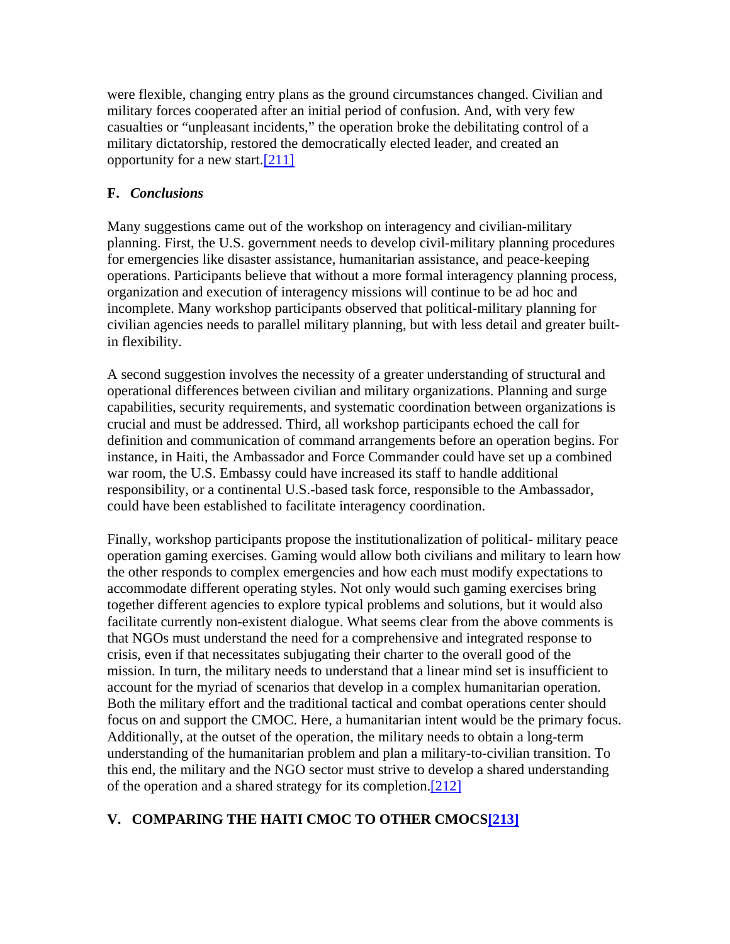were flexible, changing entry plans as the ground circumstances changed. Civilian and military forces cooperated after an initial period of confusion. And, with very few casualties or "unpleasant incidents," the operation broke the debilitating control of a military dictatorship, restored the democratically elected leader, and created an opportunity for a new start.[211]

# **F.** *Conclusions*

Many suggestions came out of the workshop on interagency and civilian-military planning. First, the U.S. government needs to develop civil-military planning procedures for emergencies like disaster assistance, humanitarian assistance, and peace-keeping operations. Participants believe that without a more formal interagency planning process, organization and execution of interagency missions will continue to be ad hoc and incomplete. Many workshop participants observed that political-military planning for civilian agencies needs to parallel military planning, but with less detail and greater builtin flexibility.

A second suggestion involves the necessity of a greater understanding of structural and operational differences between civilian and military organizations. Planning and surge capabilities, security requirements, and systematic coordination between organizations is crucial and must be addressed. Third, all workshop participants echoed the call for definition and communication of command arrangements before an operation begins. For instance, in Haiti, the Ambassador and Force Commander could have set up a combined war room, the U.S. Embassy could have increased its staff to handle additional responsibility, or a continental U.S.-based task force, responsible to the Ambassador, could have been established to facilitate interagency coordination.

Finally, workshop participants propose the institutionalization of political- military peace operation gaming exercises. Gaming would allow both civilians and military to learn how the other responds to complex emergencies and how each must modify expectations to accommodate different operating styles. Not only would such gaming exercises bring together different agencies to explore typical problems and solutions, but it would also facilitate currently non-existent dialogue. What seems clear from the above comments is that NGOs must understand the need for a comprehensive and integrated response to crisis, even if that necessitates subjugating their charter to the overall good of the mission. In turn, the military needs to understand that a linear mind set is insufficient to account for the myriad of scenarios that develop in a complex humanitarian operation. Both the military effort and the traditional tactical and combat operations center should focus on and support the CMOC. Here, a humanitarian intent would be the primary focus. Additionally, at the outset of the operation, the military needs to obtain a long-term understanding of the humanitarian problem and plan a military-to-civilian transition. To this end, the military and the NGO sector must strive to develop a shared understanding of the operation and a shared strategy for its completion.[212]

# **V. COMPARING THE HAITI CMOC TO OTHER CMOCS[213]**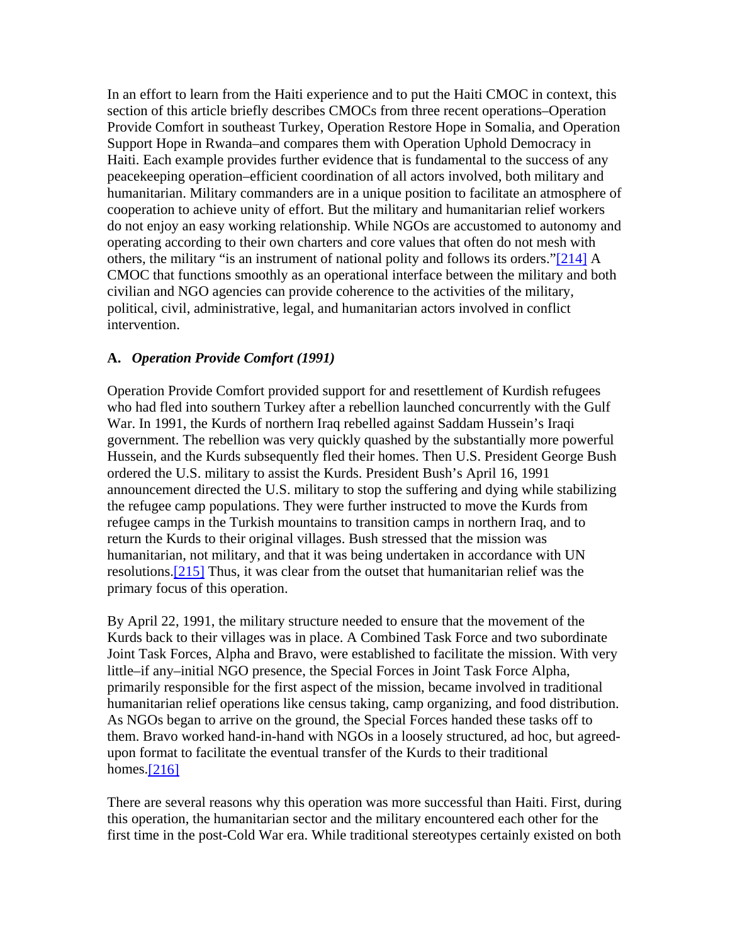In an effort to learn from the Haiti experience and to put the Haiti CMOC in context, this section of this article briefly describes CMOCs from three recent operations–Operation Provide Comfort in southeast Turkey, Operation Restore Hope in Somalia, and Operation Support Hope in Rwanda–and compares them with Operation Uphold Democracy in Haiti. Each example provides further evidence that is fundamental to the success of any peacekeeping operation–efficient coordination of all actors involved, both military and humanitarian. Military commanders are in a unique position to facilitate an atmosphere of cooperation to achieve unity of effort. But the military and humanitarian relief workers do not enjoy an easy working relationship. While NGOs are accustomed to autonomy and operating according to their own charters and core values that often do not mesh with others, the military "is an instrument of national polity and follows its orders."[214] A CMOC that functions smoothly as an operational interface between the military and both civilian and NGO agencies can provide coherence to the activities of the military, political, civil, administrative, legal, and humanitarian actors involved in conflict intervention.

# **A.** *Operation Provide Comfort (1991)*

Operation Provide Comfort provided support for and resettlement of Kurdish refugees who had fled into southern Turkey after a rebellion launched concurrently with the Gulf War. In 1991, the Kurds of northern Iraq rebelled against Saddam Hussein's Iraqi government. The rebellion was very quickly quashed by the substantially more powerful Hussein, and the Kurds subsequently fled their homes. Then U.S. President George Bush ordered the U.S. military to assist the Kurds. President Bush's April 16, 1991 announcement directed the U.S. military to stop the suffering and dying while stabilizing the refugee camp populations. They were further instructed to move the Kurds from refugee camps in the Turkish mountains to transition camps in northern Iraq, and to return the Kurds to their original villages. Bush stressed that the mission was humanitarian, not military, and that it was being undertaken in accordance with UN resolutions.[215] Thus, it was clear from the outset that humanitarian relief was the primary focus of this operation.

By April 22, 1991, the military structure needed to ensure that the movement of the Kurds back to their villages was in place. A Combined Task Force and two subordinate Joint Task Forces, Alpha and Bravo, were established to facilitate the mission. With very little–if any–initial NGO presence, the Special Forces in Joint Task Force Alpha, primarily responsible for the first aspect of the mission, became involved in traditional humanitarian relief operations like census taking, camp organizing, and food distribution. As NGOs began to arrive on the ground, the Special Forces handed these tasks off to them. Bravo worked hand-in-hand with NGOs in a loosely structured, ad hoc*,* but agreedupon format to facilitate the eventual transfer of the Kurds to their traditional homes. $[216]$ 

There are several reasons why this operation was more successful than Haiti. First, during this operation, the humanitarian sector and the military encountered each other for the first time in the post-Cold War era. While traditional stereotypes certainly existed on both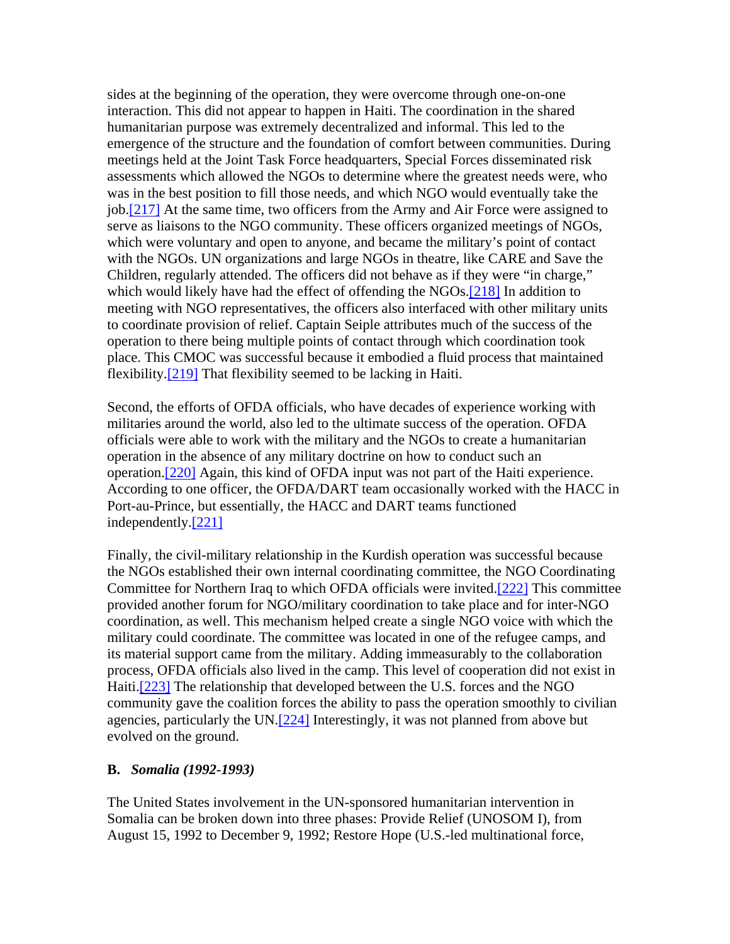sides at the beginning of the operation, they were overcome through one-on-one interaction. This did not appear to happen in Haiti. The coordination in the shared humanitarian purpose was extremely decentralized and informal. This led to the emergence of the structure and the foundation of comfort between communities. During meetings held at the Joint Task Force headquarters, Special Forces disseminated risk assessments which allowed the NGOs to determine where the greatest needs were, who was in the best position to fill those needs, and which NGO would eventually take the job.[217] At the same time, two officers from the Army and Air Force were assigned to serve as liaisons to the NGO community. These officers organized meetings of NGOs, which were voluntary and open to anyone, and became the military's point of contact with the NGOs. UN organizations and large NGOs in theatre, like CARE and Save the Children, regularly attended. The officers did not behave as if they were "in charge," which would likely have had the effect of offending the NGOs.<sup>[218]</sup> In addition to meeting with NGO representatives, the officers also interfaced with other military units to coordinate provision of relief. Captain Seiple attributes much of the success of the operation to there being multiple points of contact through which coordination took place. This CMOC was successful because it embodied a fluid process that maintained flexibility.[219] That flexibility seemed to be lacking in Haiti.

Second, the efforts of OFDA officials, who have decades of experience working with militaries around the world, also led to the ultimate success of the operation. OFDA officials were able to work with the military and the NGOs to create a humanitarian operation in the absence of any military doctrine on how to conduct such an operation.[220] Again, this kind of OFDA input was not part of the Haiti experience. According to one officer, the OFDA/DART team occasionally worked with the HACC in Port-au-Prince, but essentially, the HACC and DART teams functioned independently.[221]

Finally, the civil-military relationship in the Kurdish operation was successful because the NGOs established their own internal coordinating committee, the NGO Coordinating Committee for Northern Iraq to which OFDA officials were invited.[222] This committee provided another forum for NGO/military coordination to take place and for inter-NGO coordination, as well. This mechanism helped create a single NGO voice with which the military could coordinate. The committee was located in one of the refugee camps, and its material support came from the military. Adding immeasurably to the collaboration process, OFDA officials also lived in the camp. This level of cooperation did not exist in Haiti.[223] The relationship that developed between the U.S. forces and the NGO community gave the coalition forces the ability to pass the operation smoothly to civilian agencies, particularly the UN.[224] Interestingly, it was not planned from above but evolved on the ground.

#### **B.** *Somalia (1992-1993)*

The United States involvement in the UN-sponsored humanitarian intervention in Somalia can be broken down into three phases: Provide Relief (UNOSOM I), from August 15, 1992 to December 9, 1992; Restore Hope (U.S.-led multinational force,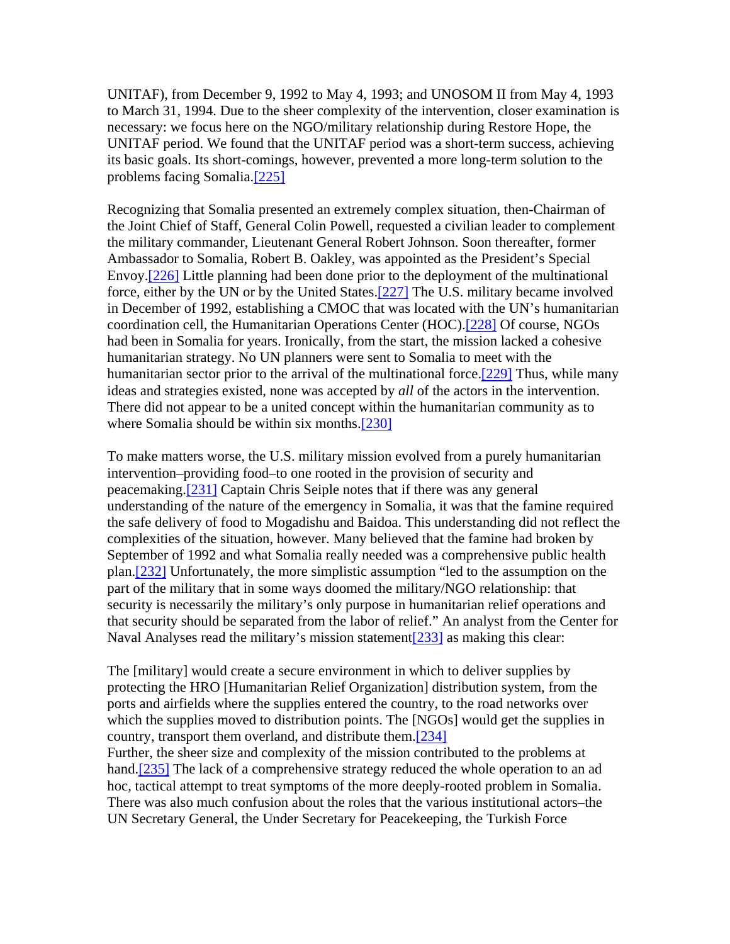UNITAF), from December 9, 1992 to May 4, 1993; and UNOSOM II from May 4, 1993 to March 31, 1994. Due to the sheer complexity of the intervention, closer examination is necessary: we focus here on the NGO/military relationship during Restore Hope, the UNITAF period. We found that the UNITAF period was a short-term success, achieving its basic goals. Its short-comings, however, prevented a more long-term solution to the problems facing Somalia.[225]

Recognizing that Somalia presented an extremely complex situation, then-Chairman of the Joint Chief of Staff, General Colin Powell, requested a civilian leader to complement the military commander, Lieutenant General Robert Johnson. Soon thereafter, former Ambassador to Somalia, Robert B. Oakley, was appointed as the President's Special Envoy.[226] Little planning had been done prior to the deployment of the multinational force, either by the UN or by the United States.[227] The U.S. military became involved in December of 1992, establishing a CMOC that was located with the UN's humanitarian coordination cell, the Humanitarian Operations Center (HOC).[228] Of course, NGOs had been in Somalia for years. Ironically, from the start, the mission lacked a cohesive humanitarian strategy. No UN planners were sent to Somalia to meet with the humanitarian sector prior to the arrival of the multinational force.<sup>[229]</sup> Thus, while many ideas and strategies existed, none was accepted by *all* of the actors in the intervention. There did not appear to be a united concept within the humanitarian community as to where Somalia should be within six months.[230]

To make matters worse, the U.S. military mission evolved from a purely humanitarian intervention–providing food–to one rooted in the provision of security and peacemaking.[231] Captain Chris Seiple notes that if there was any general understanding of the nature of the emergency in Somalia, it was that the famine required the safe delivery of food to Mogadishu and Baidoa. This understanding did not reflect the complexities of the situation, however. Many believed that the famine had broken by September of 1992 and what Somalia really needed was a comprehensive public health plan.[232] Unfortunately, the more simplistic assumption "led to the assumption on the part of the military that in some ways doomed the military/NGO relationship: that security is necessarily the military's only purpose in humanitarian relief operations and that security should be separated from the labor of relief." An analyst from the Center for Naval Analyses read the military's mission statement<sup>[233]</sup> as making this clear:

The [military] would create a secure environment in which to deliver supplies by protecting the HRO [Humanitarian Relief Organization] distribution system, from the ports and airfields where the supplies entered the country, to the road networks over which the supplies moved to distribution points. The [NGOs] would get the supplies in country, transport them overland, and distribute them.[234]

Further, the sheer size and complexity of the mission contributed to the problems at hand.<sup>[235]</sup> The lack of a comprehensive strategy reduced the whole operation to an ad hoc*,* tactical attempt to treat symptoms of the more deeply-rooted problem in Somalia. There was also much confusion about the roles that the various institutional actors–the UN Secretary General, the Under Secretary for Peacekeeping, the Turkish Force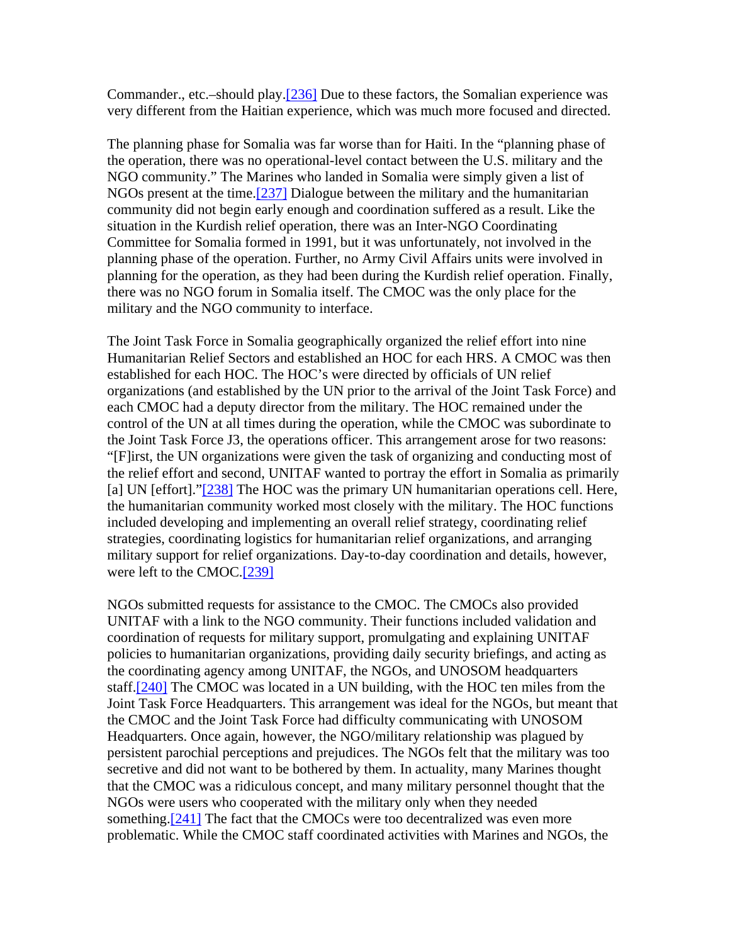Commander., etc.–should play.[236] Due to these factors, the Somalian experience was very different from the Haitian experience, which was much more focused and directed.

The planning phase for Somalia was far worse than for Haiti. In the "planning phase of the operation, there was no operational-level contact between the U.S. military and the NGO community." The Marines who landed in Somalia were simply given a list of NGOs present at the time.[237] Dialogue between the military and the humanitarian community did not begin early enough and coordination suffered as a result. Like the situation in the Kurdish relief operation, there was an Inter-NGO Coordinating Committee for Somalia formed in 1991, but it was unfortunately, not involved in the planning phase of the operation. Further, no Army Civil Affairs units were involved in planning for the operation, as they had been during the Kurdish relief operation. Finally, there was no NGO forum in Somalia itself. The CMOC was the only place for the military and the NGO community to interface.

The Joint Task Force in Somalia geographically organized the relief effort into nine Humanitarian Relief Sectors and established an HOC for each HRS. A CMOC was then established for each HOC. The HOC's were directed by officials of UN relief organizations (and established by the UN prior to the arrival of the Joint Task Force) and each CMOC had a deputy director from the military. The HOC remained under the control of the UN at all times during the operation, while the CMOC was subordinate to the Joint Task Force J3, the operations officer. This arrangement arose for two reasons: "[F]irst, the UN organizations were given the task of organizing and conducting most of the relief effort and second, UNITAF wanted to portray the effort in Somalia as primarily [a] UN [effort]."[238] The HOC was the primary UN humanitarian operations cell. Here, the humanitarian community worked most closely with the military. The HOC functions included developing and implementing an overall relief strategy, coordinating relief strategies, coordinating logistics for humanitarian relief organizations, and arranging military support for relief organizations. Day-to-day coordination and details, however, were left to the CMOC.[239]

NGOs submitted requests for assistance to the CMOC. The CMOCs also provided UNITAF with a link to the NGO community. Their functions included validation and coordination of requests for military support, promulgating and explaining UNITAF policies to humanitarian organizations, providing daily security briefings, and acting as the coordinating agency among UNITAF, the NGOs, and UNOSOM headquarters staff.<sup>[240]</sup> The CMOC was located in a UN building, with the HOC ten miles from the Joint Task Force Headquarters. This arrangement was ideal for the NGOs, but meant that the CMOC and the Joint Task Force had difficulty communicating with UNOSOM Headquarters. Once again, however, the NGO/military relationship was plagued by persistent parochial perceptions and prejudices. The NGOs felt that the military was too secretive and did not want to be bothered by them. In actuality, many Marines thought that the CMOC was a ridiculous concept, and many military personnel thought that the NGOs were users who cooperated with the military only when they needed something.<sup>[241]</sup> The fact that the CMOCs were too decentralized was even more problematic. While the CMOC staff coordinated activities with Marines and NGOs, the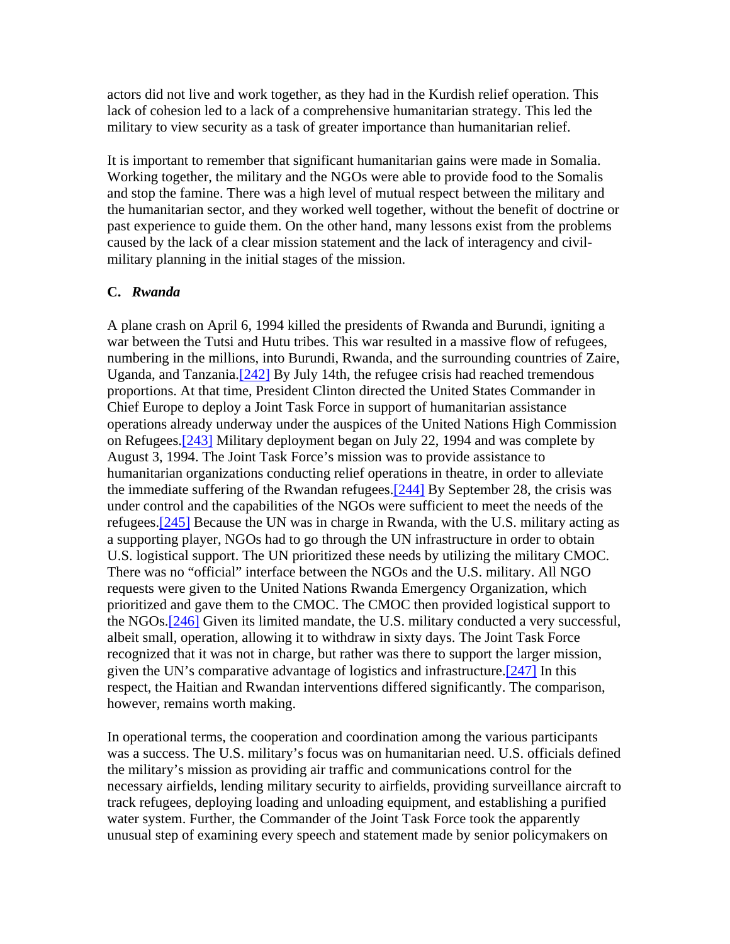actors did not live and work together, as they had in the Kurdish relief operation. This lack of cohesion led to a lack of a comprehensive humanitarian strategy. This led the military to view security as a task of greater importance than humanitarian relief.

It is important to remember that significant humanitarian gains were made in Somalia. Working together, the military and the NGOs were able to provide food to the Somalis and stop the famine. There was a high level of mutual respect between the military and the humanitarian sector, and they worked well together, without the benefit of doctrine or past experience to guide them. On the other hand, many lessons exist from the problems caused by the lack of a clear mission statement and the lack of interagency and civilmilitary planning in the initial stages of the mission.

#### **C.** *Rwanda*

A plane crash on April 6, 1994 killed the presidents of Rwanda and Burundi, igniting a war between the Tutsi and Hutu tribes. This war resulted in a massive flow of refugees, numbering in the millions, into Burundi, Rwanda, and the surrounding countries of Zaire, Uganda, and Tanzania.[242] By July 14th, the refugee crisis had reached tremendous proportions. At that time, President Clinton directed the United States Commander in Chief Europe to deploy a Joint Task Force in support of humanitarian assistance operations already underway under the auspices of the United Nations High Commission on Refugees.[243] Military deployment began on July 22, 1994 and was complete by August 3, 1994. The Joint Task Force's mission was to provide assistance to humanitarian organizations conducting relief operations in theatre, in order to alleviate the immediate suffering of the Rwandan refugees.[244] By September 28, the crisis was under control and the capabilities of the NGOs were sufficient to meet the needs of the refugees.<sup>[245]</sup> Because the UN was in charge in Rwanda, with the U.S. military acting as a supporting player, NGOs had to go through the UN infrastructure in order to obtain U.S. logistical support. The UN prioritized these needs by utilizing the military CMOC. There was no "official" interface between the NGOs and the U.S. military. All NGO requests were given to the United Nations Rwanda Emergency Organization, which prioritized and gave them to the CMOC. The CMOC then provided logistical support to the NGOs.[246] Given its limited mandate, the U.S. military conducted a very successful, albeit small, operation, allowing it to withdraw in sixty days. The Joint Task Force recognized that it was not in charge, but rather was there to support the larger mission, given the UN's comparative advantage of logistics and infrastructure.[247] In this respect, the Haitian and Rwandan interventions differed significantly. The comparison, however, remains worth making.

In operational terms, the cooperation and coordination among the various participants was a success. The U.S. military's focus was on humanitarian need. U.S. officials defined the military's mission as providing air traffic and communications control for the necessary airfields, lending military security to airfields, providing surveillance aircraft to track refugees, deploying loading and unloading equipment, and establishing a purified water system. Further, the Commander of the Joint Task Force took the apparently unusual step of examining every speech and statement made by senior policymakers on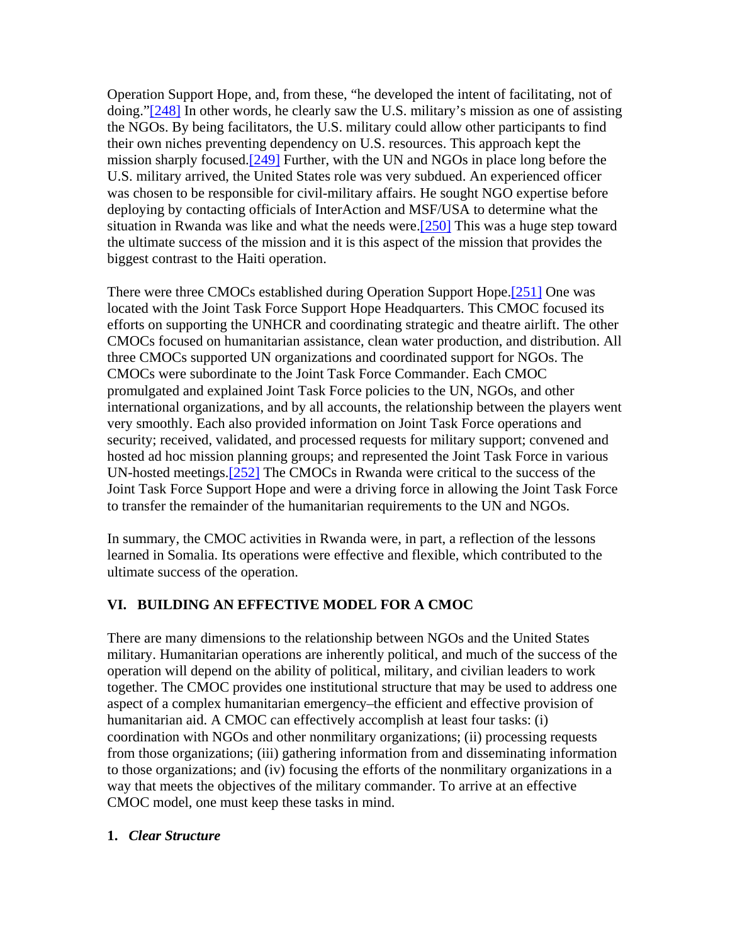Operation Support Hope, and, from these, "he developed the intent of facilitating, not of doing."[248] In other words, he clearly saw the U.S. military's mission as one of assisting the NGOs. By being facilitators, the U.S. military could allow other participants to find their own niches preventing dependency on U.S. resources. This approach kept the mission sharply focused.[249] Further, with the UN and NGOs in place long before the U.S. military arrived, the United States role was very subdued. An experienced officer was chosen to be responsible for civil-military affairs. He sought NGO expertise before deploying by contacting officials of InterAction and MSF/USA to determine what the situation in Rwanda was like and what the needs were.[250] This was a huge step toward the ultimate success of the mission and it is this aspect of the mission that provides the biggest contrast to the Haiti operation.

There were three CMOCs established during Operation Support Hope.[251] One was located with the Joint Task Force Support Hope Headquarters. This CMOC focused its efforts on supporting the UNHCR and coordinating strategic and theatre airlift. The other CMOCs focused on humanitarian assistance, clean water production, and distribution. All three CMOCs supported UN organizations and coordinated support for NGOs. The CMOCs were subordinate to the Joint Task Force Commander. Each CMOC promulgated and explained Joint Task Force policies to the UN, NGOs, and other international organizations, and by all accounts, the relationship between the players went very smoothly. Each also provided information on Joint Task Force operations and security; received, validated, and processed requests for military support; convened and hosted ad hoc mission planning groups; and represented the Joint Task Force in various UN-hosted meetings.[252] The CMOCs in Rwanda were critical to the success of the Joint Task Force Support Hope and were a driving force in allowing the Joint Task Force to transfer the remainder of the humanitarian requirements to the UN and NGOs.

In summary, the CMOC activities in Rwanda were, in part, a reflection of the lessons learned in Somalia. Its operations were effective and flexible, which contributed to the ultimate success of the operation.

# **VI. BUILDING AN EFFECTIVE MODEL FOR A CMOC**

There are many dimensions to the relationship between NGOs and the United States military. Humanitarian operations are inherently political, and much of the success of the operation will depend on the ability of political, military, and civilian leaders to work together. The CMOC provides one institutional structure that may be used to address one aspect of a complex humanitarian emergency–the efficient and effective provision of humanitarian aid. A CMOC can effectively accomplish at least four tasks: (i) coordination with NGOs and other nonmilitary organizations; (ii) processing requests from those organizations; (iii) gathering information from and disseminating information to those organizations; and (iv) focusing the efforts of the nonmilitary organizations in a way that meets the objectives of the military commander. To arrive at an effective CMOC model, one must keep these tasks in mind.

#### **1.** *Clear Structure*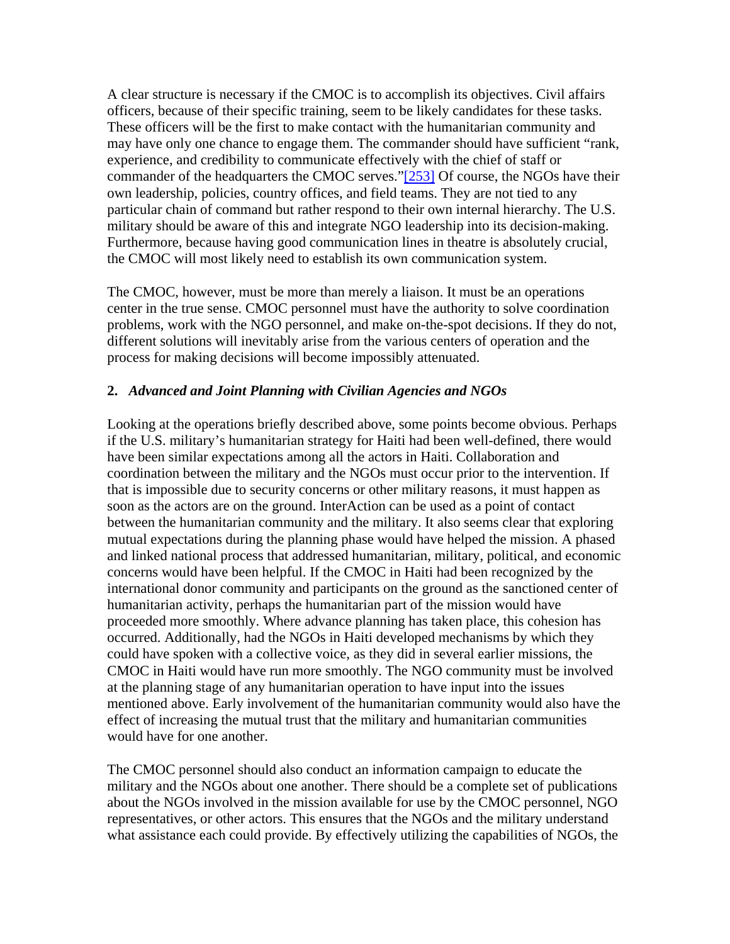A clear structure is necessary if the CMOC is to accomplish its objectives. Civil affairs officers, because of their specific training, seem to be likely candidates for these tasks. These officers will be the first to make contact with the humanitarian community and may have only one chance to engage them. The commander should have sufficient "rank, experience, and credibility to communicate effectively with the chief of staff or commander of the headquarters the CMOC serves."[253] Of course, the NGOs have their own leadership, policies, country offices, and field teams. They are not tied to any particular chain of command but rather respond to their own internal hierarchy. The U.S. military should be aware of this and integrate NGO leadership into its decision-making. Furthermore, because having good communication lines in theatre is absolutely crucial, the CMOC will most likely need to establish its own communication system.

The CMOC, however, must be more than merely a liaison. It must be an operations center in the true sense. CMOC personnel must have the authority to solve coordination problems, work with the NGO personnel, and make on-the-spot decisions. If they do not, different solutions will inevitably arise from the various centers of operation and the process for making decisions will become impossibly attenuated.

### **2.** *Advanced and Joint Planning with Civilian Agencies and NGOs*

Looking at the operations briefly described above, some points become obvious. Perhaps if the U.S. military's humanitarian strategy for Haiti had been well-defined, there would have been similar expectations among all the actors in Haiti. Collaboration and coordination between the military and the NGOs must occur prior to the intervention. If that is impossible due to security concerns or other military reasons, it must happen as soon as the actors are on the ground. InterAction can be used as a point of contact between the humanitarian community and the military. It also seems clear that exploring mutual expectations during the planning phase would have helped the mission. A phased and linked national process that addressed humanitarian, military, political, and economic concerns would have been helpful. If the CMOC in Haiti had been recognized by the international donor community and participants on the ground as the sanctioned center of humanitarian activity, perhaps the humanitarian part of the mission would have proceeded more smoothly. Where advance planning has taken place, this cohesion has occurred. Additionally, had the NGOs in Haiti developed mechanisms by which they could have spoken with a collective voice, as they did in several earlier missions, the CMOC in Haiti would have run more smoothly. The NGO community must be involved at the planning stage of any humanitarian operation to have input into the issues mentioned above. Early involvement of the humanitarian community would also have the effect of increasing the mutual trust that the military and humanitarian communities would have for one another.

The CMOC personnel should also conduct an information campaign to educate the military and the NGOs about one another. There should be a complete set of publications about the NGOs involved in the mission available for use by the CMOC personnel, NGO representatives, or other actors. This ensures that the NGOs and the military understand what assistance each could provide. By effectively utilizing the capabilities of NGOs, the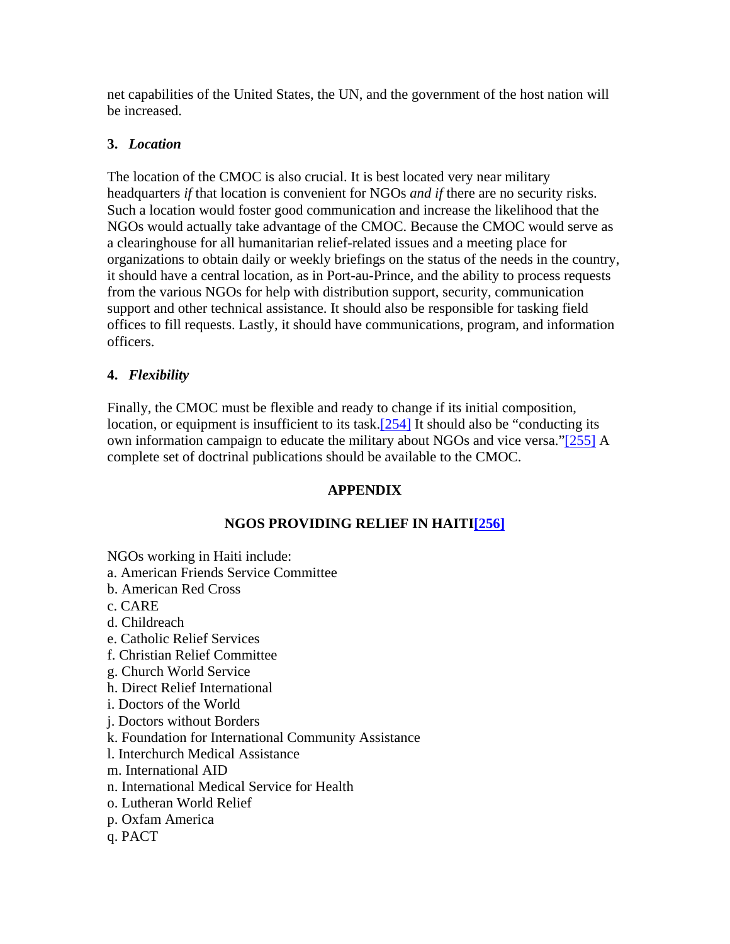net capabilities of the United States, the UN, and the government of the host nation will be increased.

# **3.** *Location*

The location of the CMOC is also crucial. It is best located very near military headquarters *if* that location is convenient for NGOs *and if* there are no security risks. Such a location would foster good communication and increase the likelihood that the NGOs would actually take advantage of the CMOC. Because the CMOC would serve as a clearinghouse for all humanitarian relief-related issues and a meeting place for organizations to obtain daily or weekly briefings on the status of the needs in the country, it should have a central location, as in Port-au-Prince, and the ability to process requests from the various NGOs for help with distribution support, security, communication support and other technical assistance. It should also be responsible for tasking field offices to fill requests. Lastly, it should have communications, program, and information officers.

# **4.** *Flexibility*

Finally, the CMOC must be flexible and ready to change if its initial composition, location, or equipment is insufficient to its task.<sup>[254]</sup> It should also be "conducting its own information campaign to educate the military about NGOs and vice versa."[255] A complete set of doctrinal publications should be available to the CMOC.

# **APPENDIX**

# **NGOS PROVIDING RELIEF IN HAITI[256]**

NGOs working in Haiti include:

- a. American Friends Service Committee
- b. American Red Cross
- c. CARE
- d. Childreach
- e. Catholic Relief Services
- f. Christian Relief Committee
- g. Church World Service
- h. Direct Relief International
- i. Doctors of the World
- j. Doctors without Borders
- k. Foundation for International Community Assistance
- l. Interchurch Medical Assistance
- m. International AID
- n. International Medical Service for Health
- o. Lutheran World Relief
- p. Oxfam America
- q. PACT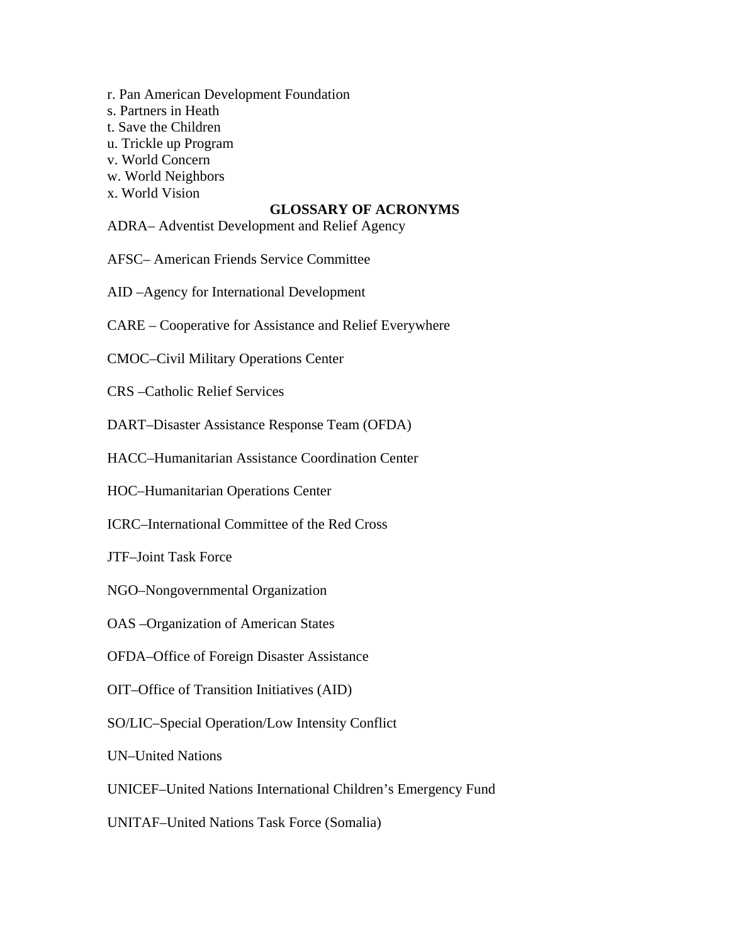- r. Pan American Development Foundation
- s. Partners in Heath
- t. Save the Children
- u. Trickle up Program
- v. World Concern
- w. World Neighbors
- x. World Vision

### **GLOSSARY OF ACRONYMS**

- ADRA– Adventist Development and Relief Agency
- AFSC– American Friends Service Committee
- AID –Agency for International Development
- CARE Cooperative for Assistance and Relief Everywhere
- CMOC–Civil Military Operations Center
- CRS –Catholic Relief Services
- DART–Disaster Assistance Response Team (OFDA)
- HACC–Humanitarian Assistance Coordination Center
- HOC–Humanitarian Operations Center
- ICRC–International Committee of the Red Cross
- JTF–Joint Task Force
- NGO–Nongovernmental Organization
- OAS –Organization of American States
- OFDA–Office of Foreign Disaster Assistance
- OIT–Office of Transition Initiatives (AID)
- SO/LIC–Special Operation/Low Intensity Conflict
- UN–United Nations
- UNICEF–United Nations International Children's Emergency Fund
- UNITAF–United Nations Task Force (Somalia)